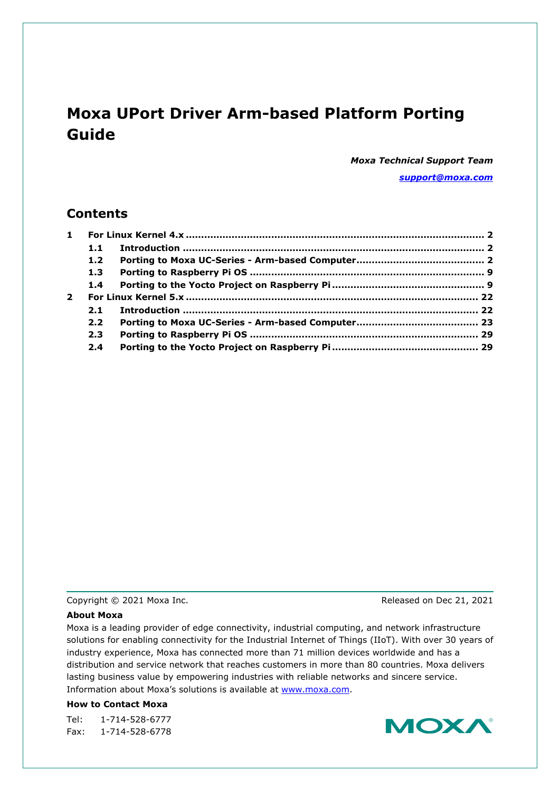# **Moxa UPort Driver Arm-based Platform Porting Guide**

*Moxa Technical Support Team [support@moxa.com](mailto:support@moxa.com)*

# **Contents**

|              | 1.1 |  |  |
|--------------|-----|--|--|
|              | 1.2 |  |  |
|              | 1.3 |  |  |
|              | 1.4 |  |  |
| $\mathbf{2}$ |     |  |  |
|              | 2.1 |  |  |
|              | 2.2 |  |  |
|              | 2.3 |  |  |
|              | 2.4 |  |  |

Copyright © 2021 Moxa Inc. Copyright © 2021 Moxa Inc.

### **About Moxa**

Moxa is a leading provider of edge connectivity, industrial computing, and network infrastructure solutions for enabling connectivity for the Industrial Internet of Things (IIoT). With over 30 years of industry experience, Moxa has connected more than 71 million devices worldwide and has a distribution and service network that reaches customers in more than 80 countries. Moxa delivers lasting business value by empowering industries with reliable networks and sincere service. Information about Moxa's solutions is available at [www.moxa.com.](http://www.moxa.com/)

### **How to Contact Moxa**

Tel: 1-714-528-6777 Fax: 1-714-528-6778

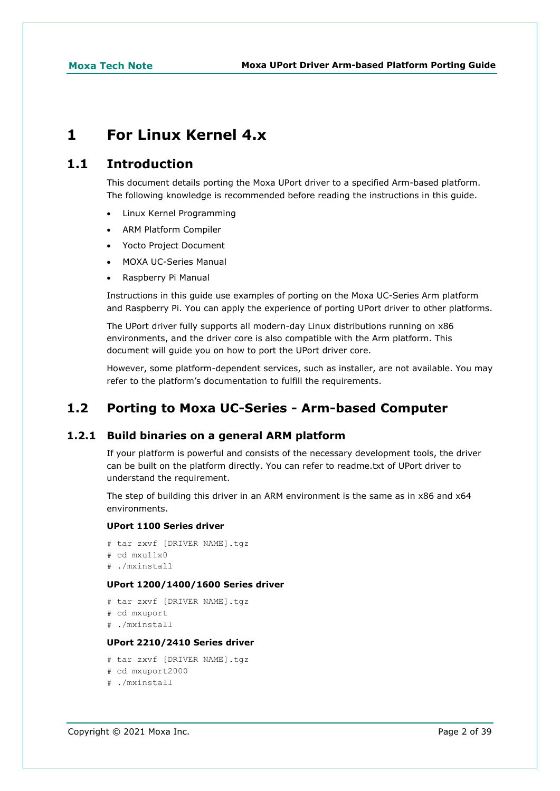# <span id="page-1-0"></span>**1 For Linux Kernel 4.x**

# <span id="page-1-1"></span>**1.1 Introduction**

This document details porting the Moxa UPort driver to a specified Arm-based platform. The following knowledge is recommended before reading the instructions in this guide.

- Linux Kernel Programming
- ARM Platform Compiler
- Yocto Project Document
- MOXA UC-Series Manual
- Raspberry Pi Manual

Instructions in this guide use examples of porting on the Moxa UC-Series Arm platform and Raspberry Pi. You can apply the experience of porting UPort driver to other platforms.

The UPort driver fully supports all modern-day Linux distributions running on x86 environments, and the driver core is also compatible with the Arm platform. This document will guide you on how to port the UPort driver core.

However, some platform-dependent services, such as installer, are not available. You may refer to the platform's documentation to fulfill the requirements.

# <span id="page-1-2"></span>**1.2 Porting to Moxa UC-Series - Arm-based Computer**

# **1.2.1 Build binaries on a general ARM platform**

If your platform is powerful and consists of the necessary development tools, the driver can be built on the platform directly. You can refer to readme.txt of UPort driver to understand the requirement.

The step of building this driver in an ARM environment is the same as in x86 and x64 environments.

### **UPort 1100 Series driver**

```
# tar zxvf [DRIVER NAME].tgz
# cd myu11y0
# ./mxinstall
```
### **UPort 1200/1400/1600 Series driver**

```
# tar zxvf [DRIVER NAME].tgz
# cd mxuport
# ./mxinstall
```
## **UPort 2210/2410 Series driver**

```
# tar zxvf [DRIVER NAME].tgz
# cd mxuport2000
# ./mxinstall
```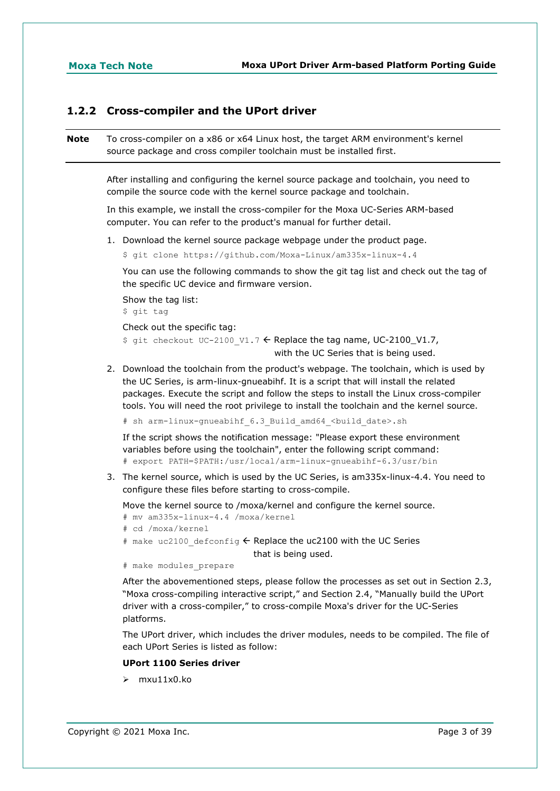# **1.2.2 Cross-compiler and the UPort driver**

**Note** To cross-compiler on a x86 or x64 Linux host, the target ARM environment's kernel source package and cross compiler toolchain must be installed first.

> After installing and configuring the kernel source package and toolchain, you need to compile the source code with the kernel source package and toolchain.

In this example, we install the cross-compiler for the Moxa UC-Series ARM-based computer. You can refer to the product's manual for further detail.

1. Download the kernel source package webpage under the product page.

```
$ git clone https://github.com/Moxa-Linux/am335x-linux-4.4
```
You can use the following commands to show the git tag list and check out the tag of the specific UC device and firmware version.

```
Show the tag list:
$ git tag
Check out the specific tag:
$ git checkout UC-2100 V1.7 \leftarrow Replace the tag name, UC-2100_V1.7,
                                     with the UC Series that is being used.
```
2. Download the toolchain from the product's webpage. The toolchain, which is used by the UC Series, is arm-linux-gnueabihf. It is a script that will install the related packages. Execute the script and follow the steps to install the Linux cross-compiler tools. You will need the root privilege to install the toolchain and the kernel source.

# sh arm-linux-gnueabihf 6.3 Build amd64 <br/>build date>.sh

If the script shows the notification message: "Please export these environment variables before using the toolchain", enter the following script command: # export PATH=\$PATH:/usr/local/arm-linux-gnueabihf-6.3/usr/bin

3. The kernel source, which is used by the UC Series, is am335x-linux-4.4. You need to configure these files before starting to cross-compile.

Move the kernel source to /moxa/kernel and configure the kernel source.

```
# mv am335x-linux-4.4 /moxa/kernel
```
- # cd /moxa/kernel
- # make uc2100 defconfig  $\leftarrow$  Replace the uc2100 with the UC Series

that is being used.

# make modules\_prepare

After the abovementioned steps, please follow the processes as set out in Section 2.3, "Moxa cross-compiling interactive script," and Section 2.4, "Manually build the UPort driver with a cross-compiler," to cross-compile Moxa's driver for the UC-Series platforms.

The UPort driver, which includes the driver modules, needs to be compiled. The file of each UPort Series is listed as follow:

# **UPort 1100 Series driver**

 $\triangleright$  mxu11x0.ko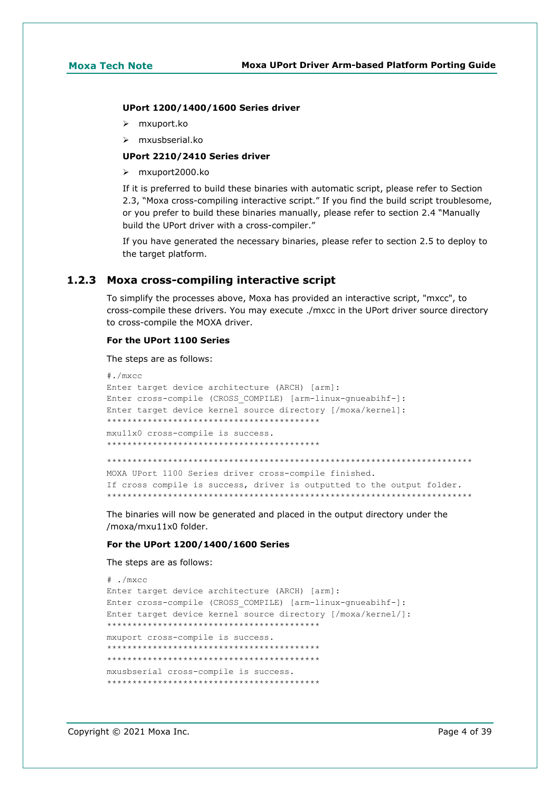### **UPort 1200/1400/1600 Series driver**

- mxuport.ko
- mxusbserial.ko

### **UPort 2210/2410 Series driver**

mxuport2000.ko

If it is preferred to build these binaries with automatic script, please refer to Section 2.3, "Moxa cross-compiling interactive script." If you find the build script troublesome, or you prefer to build these binaries manually, please refer to section 2.4 "Manually build the UPort driver with a cross-compiler."

If you have generated the necessary binaries, please refer to section 2.5 to deploy to the target platform.

# **1.2.3 Moxa cross-compiling interactive script**

To simplify the processes above, Moxa has provided an interactive script, "mxcc", to cross-compile these drivers. You may execute ./mxcc in the UPort driver source directory to cross-compile the MOXA driver.

### **For the UPort 1100 Series**

The steps are as follows:

```
#./mxcc
Enter target device architecture (ARCH) [arm]: 
Enter cross-compile (CROSS_COMPILE) [arm-linux-gnueabihf-]: 
Enter target device kernel source directory [/moxa/kernel]: 
******************************************
mxu11x0 cross-compile is success.
******************************************
************************************************************************
MOXA UPort 1100 Series driver cross-compile finished.
If cross compile is success, driver is outputted to the output folder.
************************************************************************
```
The binaries will now be generated and placed in the output directory under the /moxa/mxu11x0 folder.

### **For the UPort 1200/1400/1600 Series**

The steps are as follows:

```
# ./mxcc
Enter target device architecture (ARCH) [arm]: 
Enter cross-compile (CROSS_COMPILE) [arm-linux-gnueabihf-]: 
Enter target device kernel source directory [/moxa/kernel/]: 
******************************************
mxuport cross-compile is success.
******************************************
******************************************
mxusbserial cross-compile is success.
******************************************
```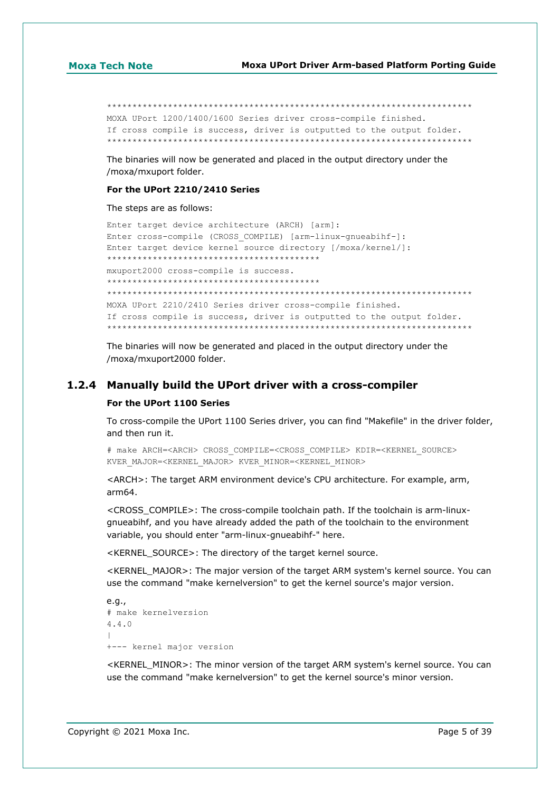\*\*\*\*\*\*\*\*\*\*\*\*\*\*\*\*\*\*\*\*\*\*\*\*\*\*\*\*\*\*\*\*\*\*\*\*\*\*\*\*\*\*\*\*\*\*\*\*\*\*\*\*\*\*\*\*\*\*\*\*\*\*\*\*\*\*\*\*\*\*\*\* MOXA UPort 1200/1400/1600 Series driver cross-compile finished. If cross compile is success, driver is outputted to the output folder. \*\*\*\*\*\*\*\*\*\*\*\*\*\*\*\*\*\*\*\*\*\*\*\*\*\*\*\*\*\*\*\*\*\*\*\*\*\*\*\*\*\*\*\*\*\*\*\*\*\*\*\*\*\*\*\*\*\*\*\*\*\*\*\*\*\*\*\*\*\*\*\*

The binaries will now be generated and placed in the output directory under the /moxa/mxuport folder.

### **For the UPort 2210/2410 Series**

The steps are as follows:

```
Enter target device architecture (ARCH) [arm]: 
Enter cross-compile (CROSS_COMPILE) [arm-linux-gnueabihf-]: 
Enter target device kernel source directory [/moxa/kernel/]: 
******************************************
mxuport2000 cross-compile is success.
******************************************
************************************************************************
MOXA UPort 2210/2410 Series driver cross-compile finished.
If cross compile is success, driver is outputted to the output folder.
************************************************************************
```
The binaries will now be generated and placed in the output directory under the /moxa/mxuport2000 folder.

## **1.2.4 Manually build the UPort driver with a cross-compiler**

### **For the UPort 1100 Series**

To cross-compile the UPort 1100 Series driver, you can find "Makefile" in the driver folder, and then run it.

# make ARCH=<ARCH> CROSS\_COMPILE=<CROSS\_COMPILE> KDIR=<KERNEL\_SOURCE> KVER\_MAJOR=<KERNEL\_MAJOR> KVER\_MINOR=<KERNEL\_MINOR>

<ARCH>: The target ARM environment device's CPU architecture. For example, arm, arm64.

<CROSS\_COMPILE>: The cross-compile toolchain path. If the toolchain is arm-linuxgnueabihf, and you have already added the path of the toolchain to the environment variable, you should enter "arm-linux-gnueabihf-" here.

<KERNEL\_SOURCE>: The directory of the target kernel source.

<KERNEL\_MAJOR>: The major version of the target ARM system's kernel source. You can use the command "make kernelversion" to get the kernel source's major version.

```
e.g.,
# make kernelversion
4.4.0
|
+--- kernel major version
```
<KERNEL\_MINOR>: The minor version of the target ARM system's kernel source. You can use the command "make kernelversion" to get the kernel source's minor version.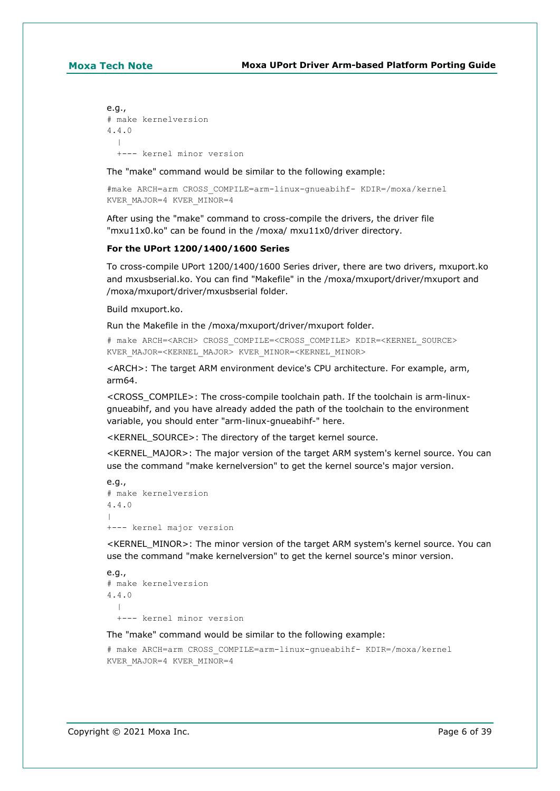```
e.g.,
# make kernelversion
4.4.0
 |
   +--- kernel minor version
```
The "make" command would be similar to the following example:

```
#make ARCH=arm CROSS_COMPILE=arm-linux-gnueabihf- KDIR=/moxa/kernel 
KVER_MAJOR=4 KVER_MINOR=4
```
After using the "make" command to cross-compile the drivers, the driver file "mxu11x0.ko" can be found in the /moxa/ mxu11x0/driver directory.

### **For the UPort 1200/1400/1600 Series**

To cross-compile UPort 1200/1400/1600 Series driver, there are two drivers, mxuport.ko and mxusbserial.ko. You can find "Makefile" in the /moxa/mxuport/driver/mxuport and /moxa/mxuport/driver/mxusbserial folder.

Build mxuport.ko.

Run the Makefile in the /moxa/mxuport/driver/mxuport folder.

# make ARCH=<ARCH> CROSS\_COMPILE=<CROSS\_COMPILE> KDIR=<KERNEL\_SOURCE> KVER\_MAJOR=<KERNEL\_MAJOR> KVER\_MINOR=<KERNEL\_MINOR>

<ARCH>: The target ARM environment device's CPU architecture. For example, arm, arm64.

<CROSS\_COMPILE>: The cross-compile toolchain path. If the toolchain is arm-linuxgnueabihf, and you have already added the path of the toolchain to the environment variable, you should enter "arm-linux-gnueabihf-" here.

<KERNEL\_SOURCE>: The directory of the target kernel source.

<KERNEL\_MAJOR>: The major version of the target ARM system's kernel source. You can use the command "make kernelversion" to get the kernel source's major version.

```
e.g.,
# make kernelversion
4.4.0
\vert+--- kernel major version
```
<KERNEL\_MINOR>: The minor version of the target ARM system's kernel source. You can use the command "make kernelversion" to get the kernel source's minor version.

```
e.a.# make kernelversion
4.4.0
  \perp +--- kernel minor version
```
The "make" command would be similar to the following example:

```
# make ARCH=arm CROSS_COMPILE=arm-linux-gnueabihf- KDIR=/moxa/kernel 
KVER_MAJOR=4 KVER_MINOR=4
```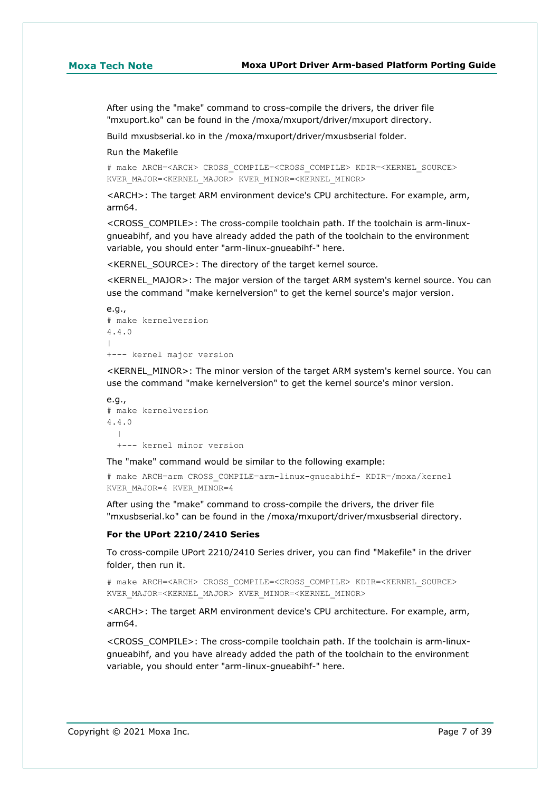After using the "make" command to cross-compile the drivers, the driver file "mxuport.ko" can be found in the /moxa/mxuport/driver/mxuport directory.

Build mxusbserial.ko in the /moxa/mxuport/driver/mxusbserial folder.

### Run the Makefile

# make ARCH=<ARCH> CROSS\_COMPILE=<CROSS\_COMPILE> KDIR=<KERNEL\_SOURCE> KVER\_MAJOR=<KERNEL\_MAJOR> KVER\_MINOR=<KERNEL\_MINOR>

<ARCH>: The target ARM environment device's CPU architecture. For example, arm, arm64.

<CROSS\_COMPILE>: The cross-compile toolchain path. If the toolchain is arm-linuxgnueabihf, and you have already added the path of the toolchain to the environment variable, you should enter "arm-linux-gnueabihf-" here.

<KERNEL\_SOURCE>: The directory of the target kernel source.

<KERNEL\_MAJOR>: The major version of the target ARM system's kernel source. You can use the command "make kernelversion" to get the kernel source's major version.

```
e.g.,
# make kernelversion
4.4.0
\vert+--- kernel major version
```
<KERNEL\_MINOR>: The minor version of the target ARM system's kernel source. You can use the command "make kernelversion" to get the kernel source's minor version.

```
e.g.,
# make kernelversion
4.4.0
\blacksquare +--- kernel minor version
```
The "make" command would be similar to the following example:

# make ARCH=arm CROSS\_COMPILE=arm-linux-gnueabihf- KDIR=/moxa/kernel KVER\_MAJOR=4 KVER\_MINOR=4

After using the "make" command to cross-compile the drivers, the driver file "mxusbserial.ko" can be found in the /moxa/mxuport/driver/mxusbserial directory.

### **For the UPort 2210/2410 Series**

To cross-compile UPort 2210/2410 Series driver, you can find "Makefile" in the driver folder, then run it.

# make ARCH=<ARCH> CROSS\_COMPILE=<CROSS\_COMPILE> KDIR=<KERNEL\_SOURCE> KVER\_MAJOR=<KERNEL\_MAJOR> KVER\_MINOR=<KERNEL\_MINOR>

<ARCH>: The target ARM environment device's CPU architecture. For example, arm, arm64.

<CROSS\_COMPILE>: The cross-compile toolchain path. If the toolchain is arm-linuxgnueabihf, and you have already added the path of the toolchain to the environment variable, you should enter "arm-linux-gnueabihf-" here.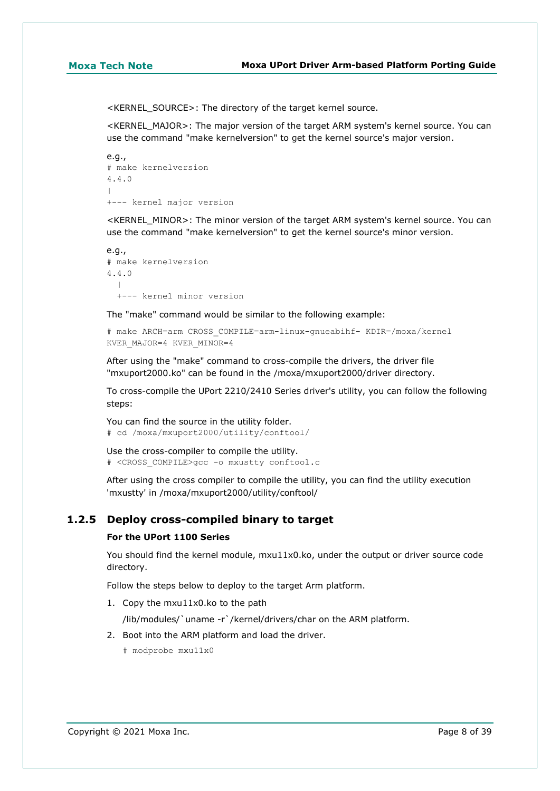<KERNEL\_SOURCE>: The directory of the target kernel source.

<KERNEL\_MAJOR>: The major version of the target ARM system's kernel source. You can use the command "make kernelversion" to get the kernel source's major version.

```
e.g.,
# make kernelversion
4.4.0
\overline{\phantom{a}}+--- kernel major version
```
<KERNEL\_MINOR>: The minor version of the target ARM system's kernel source. You can use the command "make kernelversion" to get the kernel source's minor version.

```
e.g.,
# make kernelversion
4.4.0
\blacksquare +--- kernel minor version
```
The "make" command would be similar to the following example:

```
# make ARCH=arm CROSS_COMPILE=arm-linux-gnueabihf- KDIR=/moxa/kernel
KVER_MAJOR=4 KVER_MINOR=4
```
After using the "make" command to cross-compile the drivers, the driver file "mxuport2000.ko" can be found in the /moxa/mxuport2000/driver directory.

To cross-compile the UPort 2210/2410 Series driver's utility, you can follow the following steps:

You can find the source in the utility folder. # cd /moxa/mxuport2000/utility/conftool/

Use the cross-compiler to compile the utility. # <CROSS\_COMPILE>gcc -o mxustty conftool.c

After using the cross compiler to compile the utility, you can find the utility execution 'mxustty' in /moxa/mxuport2000/utility/conftool/

# **1.2.5 Deploy cross-compiled binary to target**

### **For the UPort 1100 Series**

You should find the kernel module, mxu11x0.ko, under the output or driver source code directory.

Follow the steps below to deploy to the target Arm platform.

1. Copy the mxu11x0.ko to the path

/lib/modules/`uname -r`/kernel/drivers/char on the ARM platform.

- 2. Boot into the ARM platform and load the driver.
	- # modprobe mxu11x0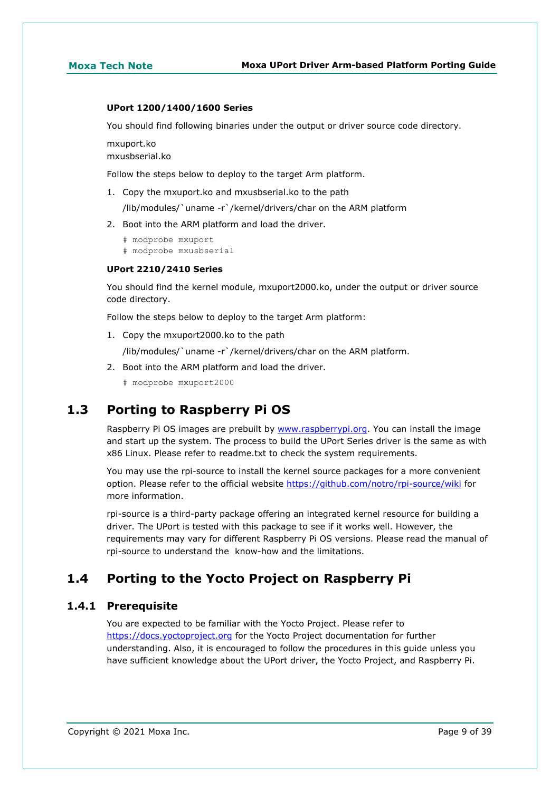### **UPort 1200/1400/1600 Series**

You should find following binaries under the output or driver source code directory.

mxuport.ko mxusbserial.ko

Follow the steps below to deploy to the target Arm platform.

1. Copy the mxuport.ko and mxusbserial.ko to the path

/lib/modules/`uname -r`/kernel/drivers/char on the ARM platform

- 2. Boot into the ARM platform and load the driver.
	- # modprobe mxuport
	- # modprobe mxusbserial

### **UPort 2210/2410 Series**

You should find the kernel module, mxuport2000.ko, under the output or driver source code directory.

Follow the steps below to deploy to the target Arm platform:

1. Copy the mxuport2000.ko to the path

/lib/modules/`uname -r`/kernel/drivers/char on the ARM platform.

2. Boot into the ARM platform and load the driver.

# modprobe mxuport2000

# <span id="page-8-0"></span>**1.3 Porting to Raspberry Pi OS**

Raspberry Pi OS images are prebuilt by [www.raspberrypi.org.](https://moxa.sharepoint.com/sites/TechnicalWriters/Documentation%20Library/%5bPapers%5d/Tech_Notes/2021/www.raspberrypi.org) You can install the image and start up the system. The process to build the UPort Series driver is the same as with x86 Linux. Please refer to readme.txt to check the system requirements.

You may use the rpi-source to install the kernel source packages for a more convenient option. Please refer to the official website<https://github.com/notro/rpi-source/wiki> for more information.

rpi-source is a third-party package offering an integrated kernel resource for building a driver. The UPort is tested with this package to see if it works well. However, the requirements may vary for different Raspberry Pi OS versions. Please read the manual of rpi-source to understand the know-how and the limitations.

# <span id="page-8-1"></span>**1.4 Porting to the Yocto Project on Raspberry Pi**

## **1.4.1 Prerequisite**

You are expected to be familiar with the Yocto Project. Please refer to [https://docs.yoctoproject.org](https://docs.yoctoproject.org/) for the Yocto Project documentation for further understanding. Also, it is encouraged to follow the procedures in this guide unless you have sufficient knowledge about the UPort driver, the Yocto Project, and Raspberry Pi.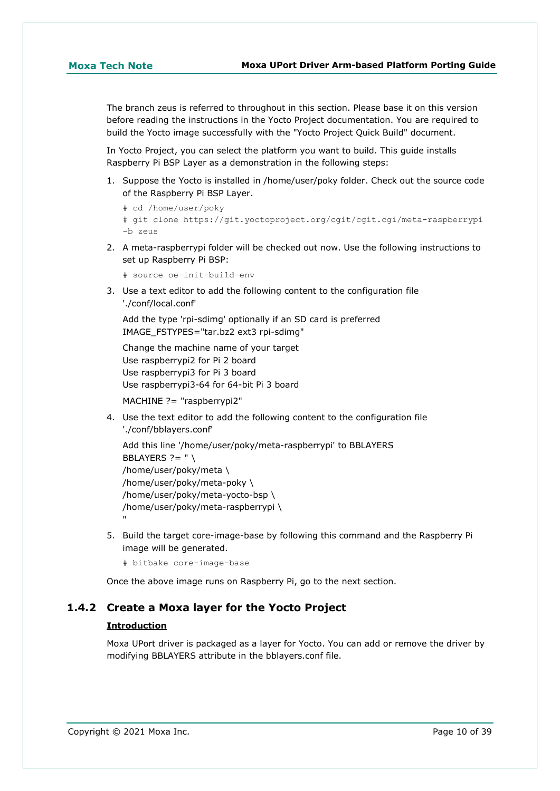The branch zeus is referred to throughout in this section. Please base it on this version before reading the instructions in the Yocto Project documentation. You are required to build the Yocto image successfully with the "Yocto Project Quick Build" document.

In Yocto Project, you can select the platform you want to build. This guide installs Raspberry Pi BSP Layer as a demonstration in the following steps:

1. Suppose the Yocto is installed in /home/user/poky folder. Check out the source code of the Raspberry Pi BSP Layer.

```
# cd /home/user/poky
# git clone https://git.yoctoproject.org/cgit/cgit.cgi/meta-raspberrypi 
-b zeus
```
2. A meta-raspberrypi folder will be checked out now. Use the following instructions to set up Raspberry Pi BSP:

```
# source oe-init-build-env
```
3. Use a text editor to add the following content to the configuration file './conf/local.conf'

Add the type 'rpi-sdimg' optionally if an SD card is preferred IMAGE\_FSTYPES="tar.bz2 ext3 rpi-sdimg"

```
Change the machine name of your target
Use raspberrypi2 for Pi 2 board
Use raspberrypi3 for Pi 3 board
Use raspberrypi3-64 for 64-bit Pi 3 board
```
MACHINE ?= "raspberrypi2"

4. Use the text editor to add the following content to the configuration file './conf/bblayers.conf'

```
Add this line '/home/user/poky/meta-raspberrypi' to BBLAYERS
BBLAYERS ? = " \setminus/home/user/poky/meta \
/home/user/poky/meta-poky \
/home/user/poky/meta-yocto-bsp \
/home/user/poky/meta-raspberrypi \
"
```
5. Build the target core-image-base by following this command and the Raspberry Pi image will be generated.

# bitbake core-image-base

Once the above image runs on Raspberry Pi, go to the next section.

# **1.4.2 Create a Moxa layer for the Yocto Project**

### **Introduction**

Moxa UPort driver is packaged as a layer for Yocto. You can add or remove the driver by modifying BBLAYERS attribute in the bblayers.conf file.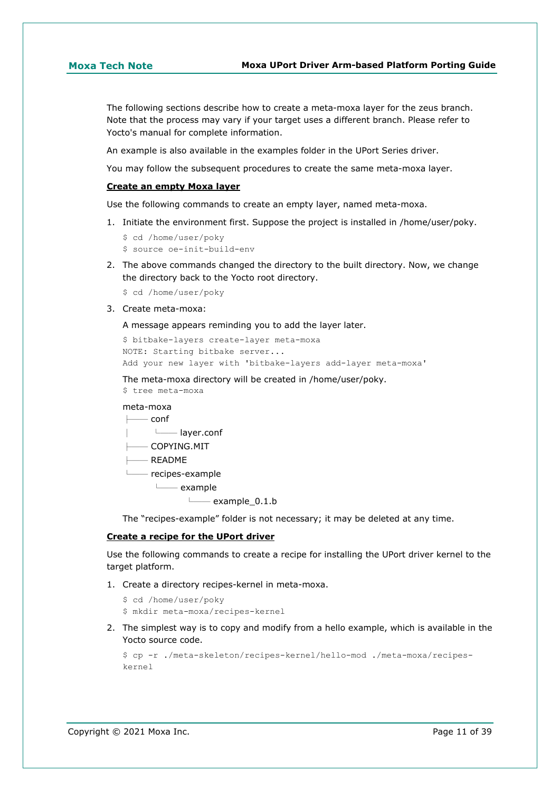The following sections describe how to create a meta-moxa layer for the zeus branch. Note that the process may vary if your target uses a different branch. Please refer to Yocto's manual for complete information.

An example is also available in the examples folder in the UPort Series driver.

You may follow the subsequent procedures to create the same meta-moxa layer.

### **Create an empty Moxa layer**

Use the following commands to create an empty layer, named meta-moxa.

1. Initiate the environment first. Suppose the project is installed in /home/user/poky.

```
$ cd /home/user/poky
$ source oe-init-build-env
```
2. The above commands changed the directory to the built directory. Now, we change the directory back to the Yocto root directory.

\$ cd /home/user/poky

3. Create meta-moxa:

A message appears reminding you to add the layer later.

```
$ bitbake-layers create-layer meta-moxa
NOTE: Starting bitbake server...
Add your new layer with 'bitbake-layers add-layer meta-moxa'
```
The meta-moxa directory will be created in /home/user/poky.

\$ tree meta-moxa

## meta-moxa

 $\rightharpoonup$  conf

- │ └── layer.conf
- $-$  COPYING. MIT
- $-$  README
- └── recipes-example

```
 └── example
```
 $\longmapsto$  example 0.1.b

The "recipes-example" folder is not necessary; it may be deleted at any time.

### **Create a recipe for the UPort driver**

Use the following commands to create a recipe for installing the UPort driver kernel to the target platform.

1. Create a directory recipes-kernel in meta-moxa.

```
$ cd /home/user/poky
```
- \$ mkdir meta-moxa/recipes-kernel
- 2. The simplest way is to copy and modify from a hello example, which is available in the Yocto source code.

```
$ cp -r ./meta-skeleton/recipes-kernel/hello-mod ./meta-moxa/recipes-
kernel
```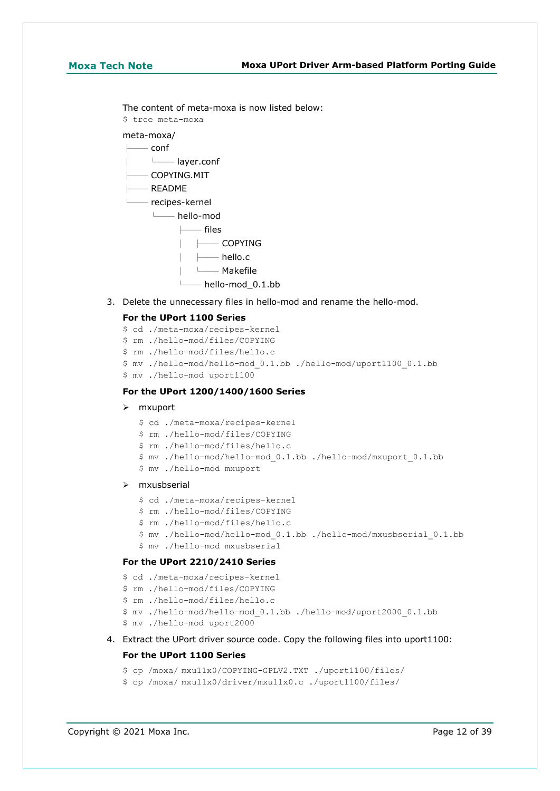The content of meta-moxa is now listed below:

\$ tree meta-moxa

## meta-moxa/

 $-$  conf

- │ └── layer.conf
- $-$  COPYING.MIT
- $-$  README

 $-$  recipes-kernel

└── hello-mod

├── files

- │ ├── COPYING
- │ ├── hello.c
- │ └── Makefile
- └── hello-mod\_0.1.bb
- 3. Delete the unnecessary files in hello-mod and rename the hello-mod.

### **For the UPort 1100 Series**

- \$ cd ./meta-moxa/recipes-kernel
- \$ rm ./hello-mod/files/COPYING
- \$ rm ./hello-mod/files/hello.c
- \$ mv ./hello-mod/hello-mod\_0.1.bb ./hello-mod/uport1100\_0.1.bb
- \$ mv ./hello-mod uport1100

### **For the UPort 1200/1400/1600 Series**

### mxuport

- \$ cd ./meta-moxa/recipes-kernel
- \$ rm ./hello-mod/files/COPYING
- \$ rm ./hello-mod/files/hello.c
- \$ mv ./hello-mod/hello-mod\_0.1.bb ./hello-mod/mxuport\_0.1.bb
- \$ mv ./hello-mod mxuport

### mxusbserial

- \$ cd ./meta-moxa/recipes-kernel
- \$ rm ./hello-mod/files/COPYING
- \$ rm ./hello-mod/files/hello.c
- \$ mv ./hello-mod/hello-mod\_0.1.bb ./hello-mod/mxusbserial\_0.1.bb
- \$ mv ./hello-mod mxusbserial

### **For the UPort 2210/2410 Series**

- \$ cd ./meta-moxa/recipes-kernel
- \$ rm ./hello-mod/files/COPYING
- \$ rm ./hello-mod/files/hello.c
- \$ mv ./hello-mod/hello-mod\_0.1.bb ./hello-mod/uport2000\_0.1.bb
- \$ mv ./hello-mod uport2000
- 4. Extract the UPort driver source code. Copy the following files into uport1100:

### **For the UPort 1100 Series**

```
$ cp /moxa/ mxu11x0/COPYING-GPLV2.TXT ./uport1100/files/
```
\$ cp /moxa/ mxu11x0/driver/mxu11x0.c ./uport1100/files/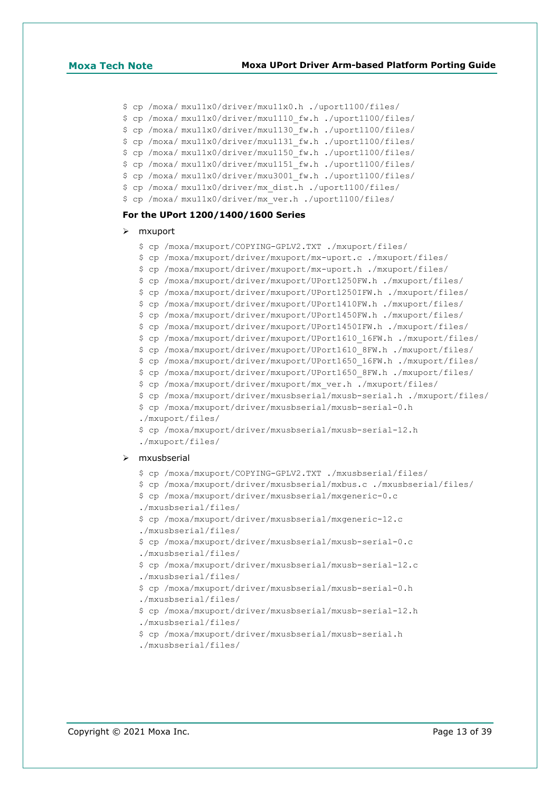```
$ cp /moxa/ mxu11x0/driver/mxu11x0.h ./uport1100/files/
```

```
$ cp /moxa/ mxu11x0/driver/mxu1110_fw.h ./uport1100/files/
```

```
$ cp /moxa/ mxu11x0/driver/mxu1130_fw.h ./uport1100/files/
```

```
$ cp /moxa/ mxu11x0/driver/mxu1131_fw.h ./uport1100/files/
```

```
$ cp /moxa/ mxu11x0/driver/mxu1150_fw.h ./uport1100/files/
```

```
$ cp /moxa/ mxu11x0/driver/mxu1151_fw.h ./uport1100/files/
```

```
$ cp /moxa/ mxu11x0/driver/mxu3001_fw.h ./uport1100/files/
```
- \$ cp /moxa/ mxu11x0/driver/mx\_dist.h ./uport1100/files/
- \$ cp /moxa/ mxu11x0/driver/mx\_ver.h ./uport1100/files/

### **For the UPort 1200/1400/1600 Series**

### > mxuport

```
$ cp /moxa/mxuport/COPYING-GPLV2.TXT ./mxuport/files/
```

```
$ cp /moxa/mxuport/driver/mxuport/mx-uport.c ./mxuport/files/
```

```
$ cp /moxa/mxuport/driver/mxuport/mx-uport.h ./mxuport/files/
```

```
$ cp /moxa/mxuport/driver/mxuport/UPort1250FW.h ./mxuport/files/
```

```
$ cp /moxa/mxuport/driver/mxuport/UPort1250IFW.h ./mxuport/files/
```

```
$ cp /moxa/mxuport/driver/mxuport/UPort1410FW.h ./mxuport/files/
```

```
$ cp /moxa/mxuport/driver/mxuport/UPort1450FW.h ./mxuport/files/
```

```
$ cp /moxa/mxuport/driver/mxuport/UPort1450IFW.h ./mxuport/files/
```

```
$ cp /moxa/mxuport/driver/mxuport/UPort1610_16FW.h ./mxuport/files/
```

```
$ cp /moxa/mxuport/driver/mxuport/UPort1610_8FW.h ./mxuport/files/
```

```
$ cp /moxa/mxuport/driver/mxuport/UPort1650_16FW.h ./mxuport/files/
```

```
$ cp /moxa/mxuport/driver/mxuport/UPort1650_8FW.h ./mxuport/files/
```

```
$ cp /moxa/mxuport/driver/mxuport/mx_ver.h ./mxuport/files/
```

```
$ cp /moxa/mxuport/driver/mxusbserial/mxusb-serial.h ./mxuport/files/
```

```
$ cp /moxa/mxuport/driver/mxusbserial/mxusb-serial-0.h
```

```
./mxuport/files/
```

```
$ cp /moxa/mxuport/driver/mxusbserial/mxusb-serial-12.h
```

```
./mxuport/files/
```
### $>$  mxusbserial

```
$ cp /moxa/mxuport/COPYING-GPLV2.TXT ./mxusbserial/files/
```

```
$ cp /moxa/mxuport/driver/mxusbserial/mxbus.c ./mxusbserial/files/
```

```
$ cp /moxa/mxuport/driver/mxusbserial/mxgeneric-0.c
```

```
./mxusbserial/files/
```

```
$ cp /moxa/mxuport/driver/mxusbserial/mxgeneric-12.c
```

```
./mxusbserial/files/
```

```
$ cp /moxa/mxuport/driver/mxusbserial/mxusb-serial-0.c
```

```
./mxusbserial/files/
```

```
$ cp /moxa/mxuport/driver/mxusbserial/mxusb-serial-12.c 
./mxusbserial/files/
```

```
$ cp /moxa/mxuport/driver/mxusbserial/mxusb-serial-0.h 
./mxusbserial/files/
```

```
$ cp /moxa/mxuport/driver/mxusbserial/mxusb-serial-12.h
```

```
./mxusbserial/files/
```

```
$ cp /moxa/mxuport/driver/mxusbserial/mxusb-serial.h
```

```
./mxusbserial/files/
```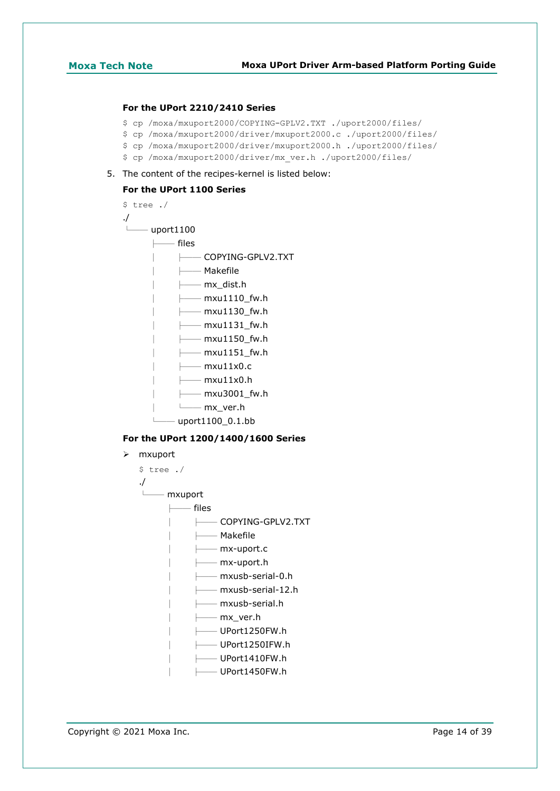### **For the UPort 2210/2410 Series**

- \$ cp /moxa/mxuport2000/COPYING-GPLV2.TXT ./uport2000/files/
- \$ cp /moxa/mxuport2000/driver/mxuport2000.c ./uport2000/files/
- \$ cp /moxa/mxuport2000/driver/mxuport2000.h ./uport2000/files/
- \$ cp /moxa/mxuport2000/driver/mx\_ver.h ./uport2000/files/
- 5. The content of the recipes-kernel is listed below:

# **For the UPort 1100 Series**

| \$ tree ./       |                               |
|------------------|-------------------------------|
| $\cdot$          |                               |
| — uport $1100\,$ |                               |
| —— files         |                               |
|                  | —— COPYING-GPLV2.TXT          |
|                  | ├── Makefile                  |
|                  | $\longmapsto$ mx dist.h       |
|                  | $\longmapsto$ mxu1110 fw.h    |
|                  | $\longmapsto$ mxu1130 fw.h    |
|                  | $\longleftarrow$ mxu1131 fw.h |
|                  | —— mxu1150  fw.h              |
|                  | $\longleftarrow$ mxu1151 fw.h |
|                  | —— mxu11x0.c                  |
|                  | —— mxu11x0.h                  |
|                  | —— mxu3001_fw.h               |
|                  | —— mx  ver.h                  |
|                  | uport1100 0.1.bb              |
|                  |                               |

# **For the UPort 1200/1400/1600 Series**

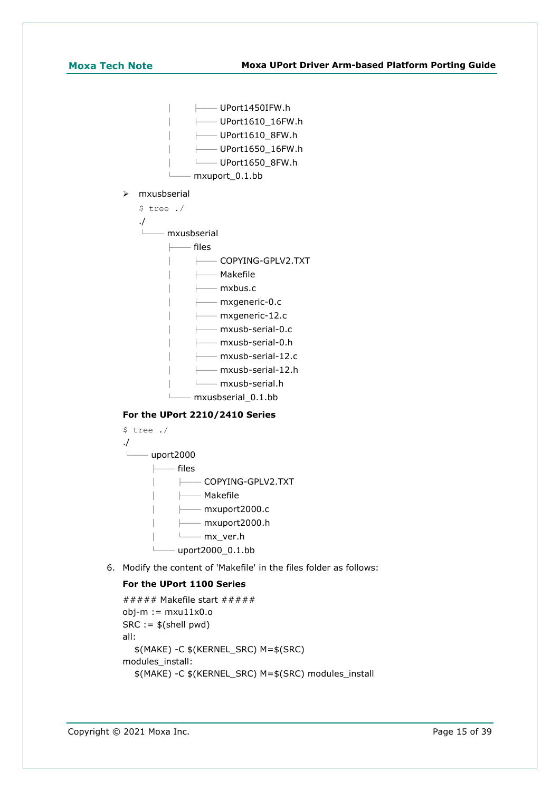$-$  UPort1450IFW.h │ ├── UPort1610\_16FW.h │ ├── UPort1610\_8FW.h │ ├── UPort1650\_16FW.h │ └── UPort1650\_8FW.h └── mxuport\_0.1.bb

mxusbserial

\$ tree ./

./

 $-$  mxusbserial

├── files

│ ├── COPYING-GPLV2.TXT

│ ├── Makefile

│ ├── mxbus.c

 $-$  mxgeneric-0.c

 $-$  mxgeneric-12.c

 $-$  mxusb-serial-0.c

│ ├── mxusb-serial-0.h

- $-$  mxusb-serial-12.c
- $-$  mxusb-serial-12.h

│ └── mxusb-serial.h

└── mxusbserial\_0.1.bb

# **For the UPort 2210/2410 Series**



6. Modify the content of 'Makefile' in the files folder as follows:

# **For the UPort 1100 Series**

```
###### Makefile start # # # # #obj-m := mxu11x0.oSRC := $(shell \text{ pwd})all:
   $(MAKE) -C $(KERNEL_SRC) M=$(SRC)
modules_install:
   $(MAKE) -C $(KERNEL_SRC) M=$(SRC) modules_install
```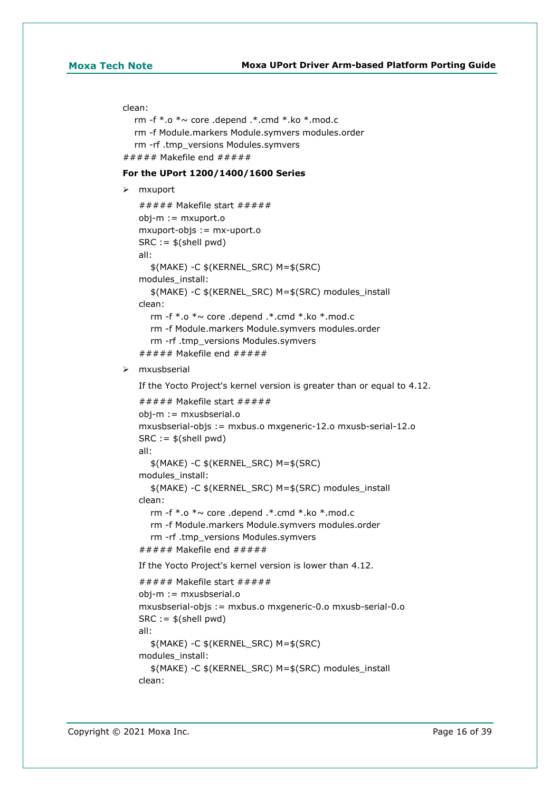### clean:

```
rm -f * o * \sim core .depend .* cmd *.ko * mod.c
   rm -f Module.markers Module.symvers modules.order
   rm -rf .tmp_versions Modules.symvers
###### Makefile end # # # # #
```
### **For the UPort 1200/1400/1600 Series**

```
 mxuport
```

```
\###\## Makefile start \#####
obj-m := mxuport.o
mxuport-objs := mx-uport.o
SRC := $(shell pwd)all:
   $(MAKE) -C $(KERNEL_SRC) M=$(SRC)
modules_install:
   $(MAKE) -C $(KERNEL_SRC) M=$(SRC) modules_install
clean:
   rm -f *.o *~ core .depend .*.cmd *.ko *.mod.c
   rm -f Module.markers Module.symvers modules.order
   rm -rf .tmp_versions Modules.symvers
###### Makefile end # # # # #
```
### $\triangleright$  mxusbserial

```
If the Yocto Project's kernel version is greater than or equal to 4.12.
\# \# \# \# Makefile start \# \# \# \# \#obj-m := mxusbserial.o
mxusbserial-objs := mxbus.o mxgeneric-12.o mxusb-serial-12.o
SRC := $(shell \text{ pwd})all:
   $(MAKE) -C $(KERNEL_SRC) M=$(SRC)
modules_install:
   $(MAKE) -C $(KERNEL_SRC) M=$(SRC) modules_install
clean:
   rm -f *.o *~ core .depend .*.cmd *.ko *.mod.c
   rm -f Module.markers Module.symvers modules.order
   rm -rf .tmp_versions Modules.symvers
###### Makefile end \#####
If the Yocto Project's kernel version is lower than 4.12.
\# \# \# \# Makefile start \# \# \# \# \#obj-m := mxusbserial.o
mxusbserial-objs := mxbus.o mxgeneric-0.o mxusb-serial-0.o
SRC := $(shell pwd)all:
   $(MAKE) -C $(KERNEL_SRC) M=$(SRC)
modules_install:
   $(MAKE) -C $(KERNEL_SRC) M=$(SRC) modules_install
```
clean: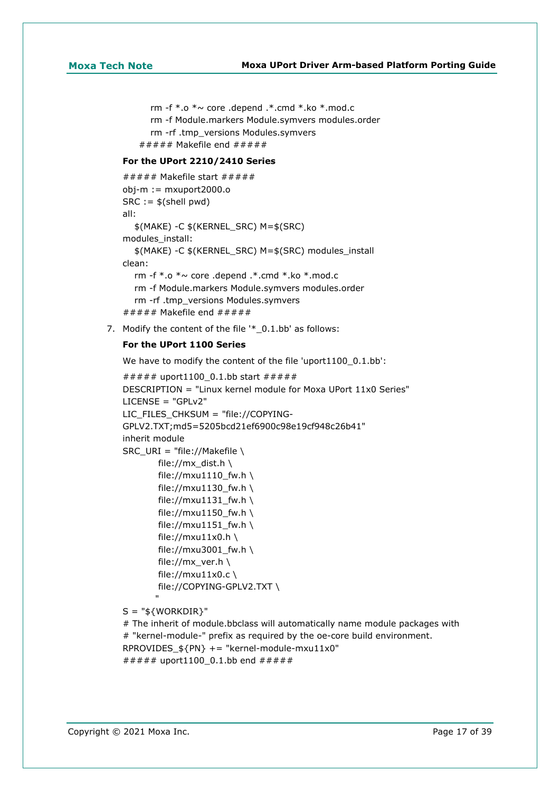rm -f  $*$ .o  $*$   $\sim$  core .depend .\*.cmd  $*$ .ko  $*$ .mod.c rm -f Module.markers Module.symvers modules.order rm -rf .tmp\_versions Modules.symvers  $# # # # # Makefile end # # # # #$ 

# **For the UPort 2210/2410 Series**

```
\##\##\# Makefile start \#\#\#\#obj-m := mxuport2000.o
SRC := $(shell \text{ pwd})all:
   $(MAKE) -C $(KERNEL_SRC) M=$(SRC)
modules_install:
   $(MAKE) -C $(KERNEL_SRC) M=$(SRC) modules_install
clean:
  rm -f * o * \sim core .depend .* cmd *.ko *.mod.c
   rm -f Module.markers Module.symvers modules.order
   rm -rf .tmp_versions Modules.symvers
###### Makefile end # # # # #
```
7. Modify the content of the file '\* 0.1.bb' as follows:

### **For the UPort 1100 Series**

We have to modify the content of the file 'uport1100\_0.1.bb':

```
###### uport1100 0.1.bb start ######
DESCRIPTION = "Linux kernel module for Moxa UPort 11x0 Series"
LICENSE = "GPLv2"
LIC_FILES_CHKSUM = "file://COPYING-
GPLV2.TXT;md5=5205bcd21ef6900c98e19cf948c26b41"
inherit module
SRC_URI = "file://Makefile \
        file://mx dist.h \
        file://mxu1110_fw.h \
        file://mxu1130 fw.h \
        file://mxu1131 f(w.h \setminusfile://mxu1150_fw.h \
        file://mxu1151_fw.h \
        file://mxu11x0.h \
         file://mxu3001_fw.h \
        file://mx_ver.h \
        file://mxu11x0.c \
         file://COPYING-GPLV2.TXT \
"" "" "" ""
```
 $S = "$ \${WORKDIR}"

# The inherit of module.bbclass will automatically name module packages with # "kernel-module-" prefix as required by the oe-core build environment. RPROVIDES  $$PN} += "kernel-module-maxu11x0"$ ###### uport1100 0.1.bb end #####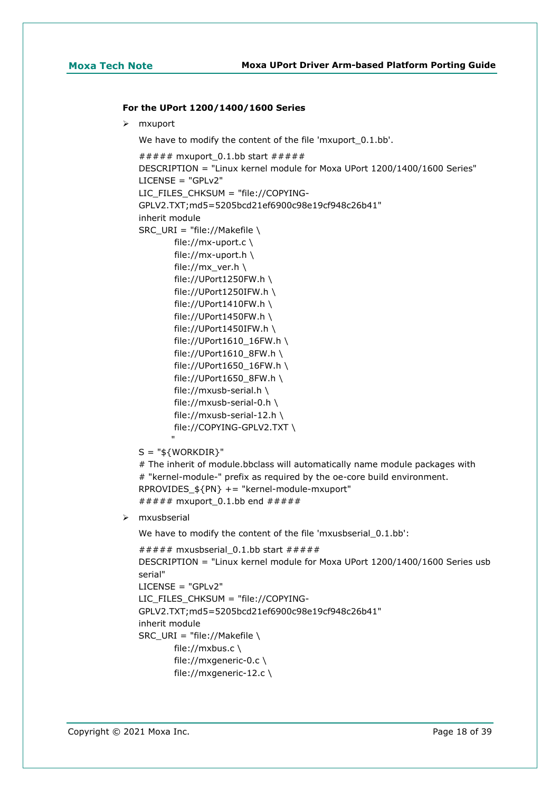### **For the UPort 1200/1400/1600 Series**

 $>$  mxuport

We have to modify the content of the file 'mxuport 0.1.bb'.

```
###### mxuport_0.1.bb start ######
   DESCRIPTION = "Linux kernel module for Moxa UPort 1200/1400/1600 Series"
   LICENSE = "GPLv2"
   LIC_FILES_CHKSUM = "file://COPYING-
   GPLV2.TXT;md5=5205bcd21ef6900c98e19cf948c26b41"
   inherit module
   SRC_URI = "file://Makefile \
           file://mx-uport.c \
           file://mx-uport.h \
            file://mx_ver.h \
            file://UPort1250FW.h \
            file://UPort1250IFW.h \
            file://UPort1410FW.h \
            file://UPort1450FW.h \
           file://UPort1450IFW.h \
            file://UPort1610_16FW.h \
            file://UPort1610_8FW.h \
           file://UPort1650 16FW.h \setminus file://UPort1650_8FW.h \
            file://mxusb-serial.h \
            file://mxusb-serial-0.h \
            file://mxusb-serial-12.h \
            file://COPYING-GPLV2.TXT \
    "
   S = "${WORKDIR}"
   # The inherit of module.bbclass will automatically name module packages with
   # "kernel-module-" prefix as required by the oe-core build environment.
   RPROVIDES_${PN} += "kernel-module-mxuport"
   ###### mxuport 0.1.bb end ######
 mxusbserial
   We have to modify the content of the file 'mxusbserial_0.1.bb':
   ###### mxusbserial_0.1.bb start ######
   DESCRIPTION = "Linux kernel module for Moxa UPort 1200/1400/1600 Series usb
```

```
serial"
LICENSE = "GPLv2"
LIC_FILES_CHKSUM = "file://COPYING-
GPLV2.TXT;md5=5205bcd21ef6900c98e19cf948c26b41"
inherit module
SRC_URI = "file://Makefile \
        file://mxbus.c \
        file://mxgeneric-0.c \
        file://mxgeneric-12.c \
```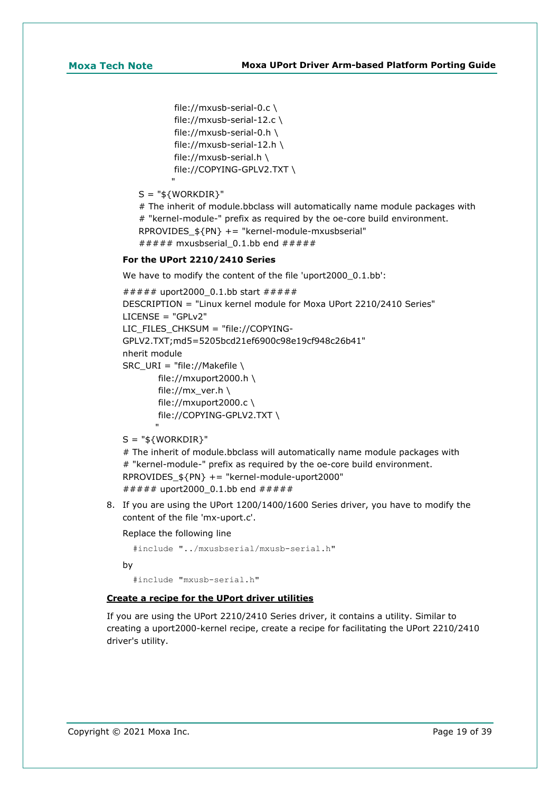```
 file://mxusb-serial-0.c \
 file://mxusb-serial-12.c \
 file://mxusb-serial-0.h \
 file://mxusb-serial-12.h \
 file://mxusb-serial.h \
 file://COPYING-GPLV2.TXT \
```
 $S = "$ \${WORKDIR}"

"

# The inherit of module.bbclass will automatically name module packages with # "kernel-module-" prefix as required by the oe-core build environment. RPROVIDES\_\${PN} += "kernel-module-mxusbserial" ###### mxusbserial 0.1.bb end #####

### **For the UPort 2210/2410 Series**

We have to modify the content of the file 'uport2000\_0.1.bb':

```
###### uport2000_0.1.bb start #####
DESCRIPTION = "Linux kernel module for Moxa UPort 2210/2410 Series"
LICENSE = "GPLv2"
LIC_FILES_CHKSUM = "file://COPYING-
GPLV2.TXT;md5=5205bcd21ef6900c98e19cf948c26b41"
nherit module
SRC URI = "file://Makefile \
        file://mxuport2000.h \
       file://mx_ver.h \
       file://mxuport2000.c \
        file://COPYING-GPLV2.TXT \
```
 $S = "$ \${WORKDIR}"

"

```
# The inherit of module.bbclass will automatically name module packages with
# "kernel-module-" prefix as required by the oe-core build environment.
RPROVIDES_${PN} += "kernel-module-uport2000"
###### uport2000 0.1.bb end #####
```
8. If you are using the UPort 1200/1400/1600 Series driver, you have to modify the content of the file 'mx-uport.c'.

Replace the following line

```
 #include "../mxusbserial/mxusb-serial.h"
```
by

#include "mxusb-serial.h"

### **Create a recipe for the UPort driver utilities**

If you are using the UPort 2210/2410 Series driver, it contains a utility. Similar to creating a uport2000-kernel recipe, create a recipe for facilitating the UPort 2210/2410 driver's utility.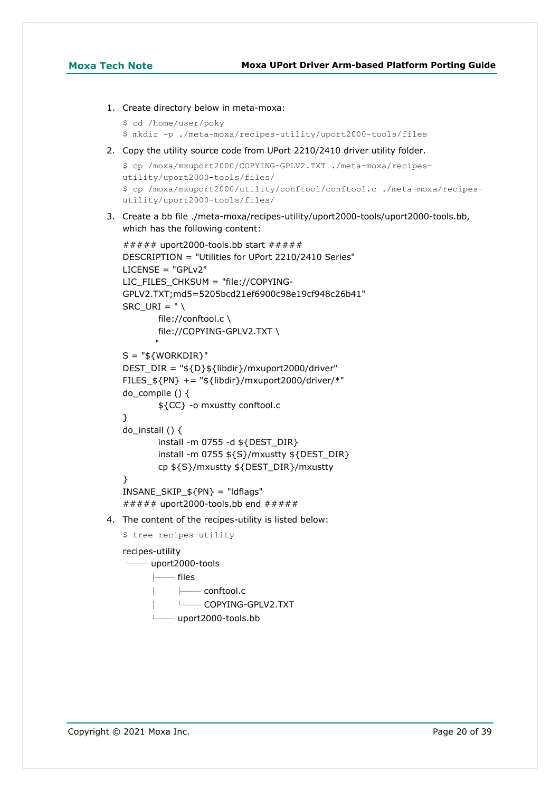```
1. Create directory below in meta-moxa:
```

```
$ cd /home/user/poky
```
\$ mkdir -p ./meta-moxa/recipes-utility/uport2000-tools/files

2. Copy the utility source code from UPort 2210/2410 driver utility folder.

```
$ cp /moxa/mxuport2000/COPYING-GPLV2.TXT ./meta-moxa/recipes-
utility/uport2000-tools/files/
$ cp /moxa/mxuport2000/utility/conftool/conftool.c ./meta-moxa/recipes-
utility/uport2000-tools/files/
```
3. Create a bb file ./meta-moxa/recipes-utility/uport2000-tools/uport2000-tools.bb, which has the following content:

```
###### uport2000-tools.bb start # # # # #DESCRIPTION = "Utilities for UPort 2210/2410 Series"
LICENSE = "GPLv2"
LIC_FILES_CHKSUM = "file://COPYING-
GPLV2.TXT;md5=5205bcd21ef6900c98e19cf948c26b41"
SRC URI = " \setminus file://conftool.c \
        file://COPYING-GPLV2.TXT \
"" "" "" ""
S = "${WORKDIR}"
DEST_DIR = "${D}${libdir}/mxuport2000/driver"
FILES_${PN} += "${libdir}/mxuport2000/driver/*"
do compile () \{ ${CC} -o mxustty conftool.c
}
do_install () {
         install -m 0755 -d ${DEST_DIR}
         install -m 0755 ${S}/mxustty ${DEST_DIR}
         cp ${S}/mxustty ${DEST_DIR}/mxustty
}
INSANE_SKIP_$\{PN\} = "ldflags"
###### uport2000-tools.bb end \# \# \# \# \#
```
4. The content of the recipes-utility is listed below:

```
$ tree recipes-utility
```
recipes-utility

└── uport2000-tools

├── files

 $-$  conftool.c

│ └── COPYING-GPLV2.TXT

 $-$  uport2000-tools.bb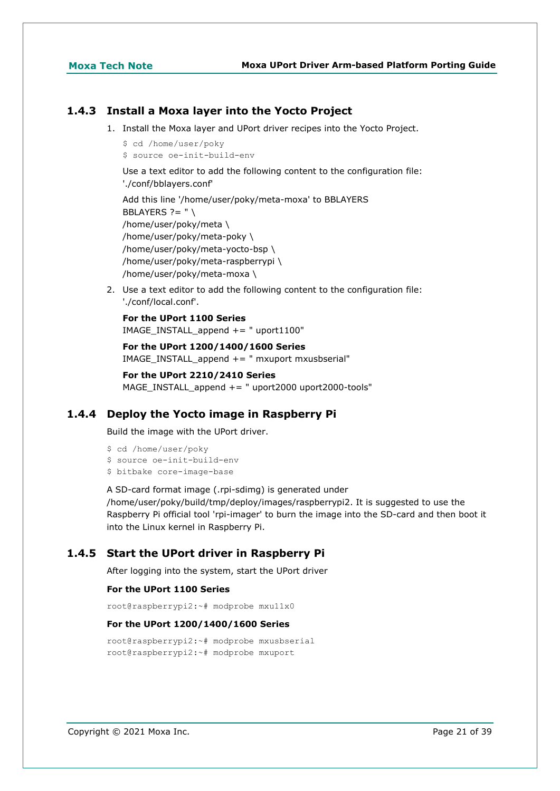# **1.4.3 Install a Moxa layer into the Yocto Project**

- 1. Install the Moxa layer and UPort driver recipes into the Yocto Project.
	- \$ cd /home/user/poky
	- \$ source oe-init-build-env

Use a text editor to add the following content to the configuration file: './conf/bblayers.conf'

Add this line '/home/user/poky/meta-moxa' to BBLAYERS BBLAYERS  $? = " \setminus$ /home/user/poky/meta \ /home/user/poky/meta-poky \ /home/user/poky/meta-yocto-bsp \ /home/user/poky/meta-raspberrypi \ /home/user/poky/meta-moxa \

2. Use a text editor to add the following content to the configuration file: './conf/local.conf'.

**For the UPort 1100 Series** IMAGE\_INSTALL\_append += " uport1100"

**For the UPort 1200/1400/1600 Series** IMAGE\_INSTALL\_append += " mxuport mxusbserial"

**For the UPort 2210/2410 Series** MAGE\_INSTALL\_append  $+=$  " uport2000 uport2000-tools"

# **1.4.4 Deploy the Yocto image in Raspberry Pi**

Build the image with the UPort driver.

```
$ cd /home/user/poky
$ source oe-init-build-env
$ bitbake core-image-base
```
A SD-card format image (.rpi-sdimg) is generated under /home/user/poky/build/tmp/deploy/images/raspberrypi2. It is suggested to use the Raspberry Pi official tool 'rpi-imager' to burn the image into the SD-card and then boot it into the Linux kernel in Raspberry Pi.

# **1.4.5 Start the UPort driver in Raspberry Pi**

After logging into the system, start the UPort driver

### **For the UPort 1100 Series**

root@raspberrypi2:~# modprobe mxu11x0

### **For the UPort 1200/1400/1600 Series**

```
root@raspberrypi2:~# modprobe mxusbserial
root@raspberrypi2:~# modprobe mxuport
```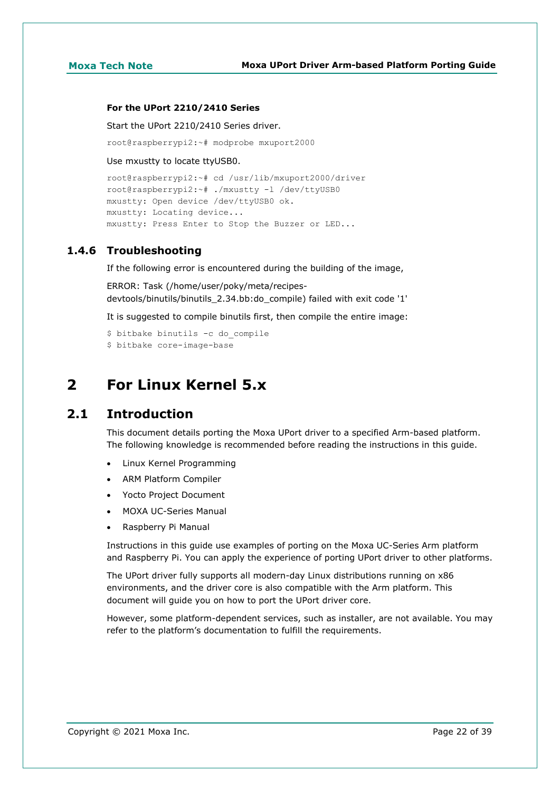### **For the UPort 2210/2410 Series**

Start the UPort 2210/2410 Series driver.

root@raspberrypi2:~# modprobe mxuport2000

Use mxustty to locate ttyUSB0.

```
root@raspberrypi2:~# cd /usr/lib/mxuport2000/driver
root@raspberrypi2:~# ./mxustty -l /dev/ttyUSB0
mxustty: Open device /dev/ttyUSB0 ok.
mxustty: Locating device...
mxustty: Press Enter to Stop the Buzzer or LED...
```
# **1.4.6 Troubleshooting**

If the following error is encountered during the building of the image,

ERROR: Task (/home/user/poky/meta/recipesdevtools/binutils/binutils\_2.34.bb:do\_compile) failed with exit code '1'

It is suggested to compile binutils first, then compile the entire image:

```
$ bitbake binutils -c do_compile
$ bitbake core-image-base
```
# <span id="page-21-0"></span>**2 For Linux Kernel 5.x**

# <span id="page-21-1"></span>**2.1 Introduction**

This document details porting the Moxa UPort driver to a specified Arm-based platform. The following knowledge is recommended before reading the instructions in this guide.

- Linux Kernel Programming
- ARM Platform Compiler
- Yocto Project Document
- MOXA UC-Series Manual
- Raspberry Pi Manual

Instructions in this guide use examples of porting on the Moxa UC-Series Arm platform and Raspberry Pi. You can apply the experience of porting UPort driver to other platforms.

The UPort driver fully supports all modern-day Linux distributions running on x86 environments, and the driver core is also compatible with the Arm platform. This document will guide you on how to port the UPort driver core.

However, some platform-dependent services, such as installer, are not available. You may refer to the platform's documentation to fulfill the requirements.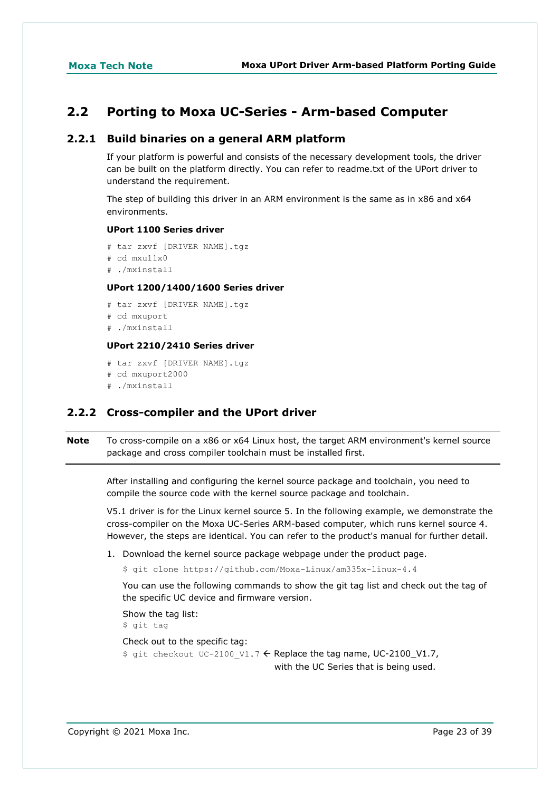# <span id="page-22-0"></span>**2.2 Porting to Moxa UC-Series - Arm-based Computer**

## **2.2.1 Build binaries on a general ARM platform**

If your platform is powerful and consists of the necessary development tools, the driver can be built on the platform directly. You can refer to readme.txt of the UPort driver to understand the requirement.

The step of building this driver in an ARM environment is the same as in x86 and x64 environments.

# **UPort 1100 Series driver**

```
# tar zxvf [DRIVER NAME].tgz
# cd mxu11x0
# ./mxinstall
```
### **UPort 1200/1400/1600 Series driver**

```
# tar zxvf [DRIVER NAME].tgz
# cd mxuport
# ./mxinstall
```
## **UPort 2210/2410 Series driver**

# tar zxvf [DRIVER NAME].tgz # cd mxuport2000 # ./mxinstall

# **2.2.2 Cross-compiler and the UPort driver**

**Note** To cross-compile on a x86 or x64 Linux host, the target ARM environment's kernel source package and cross compiler toolchain must be installed first.

After installing and configuring the kernel source package and toolchain, you need to compile the source code with the kernel source package and toolchain.

V5.1 driver is for the Linux kernel source 5. In the following example, we demonstrate the cross-compiler on the Moxa UC-Series ARM-based computer, which runs kernel source 4. However, the steps are identical. You can refer to the product's manual for further detail.

1. Download the kernel source package webpage under the product page.

```
$ git clone https://github.com/Moxa-Linux/am335x-linux-4.4
```
You can use the following commands to show the git tag list and check out the tag of the specific UC device and firmware version.

```
Show the tag list:
```
\$ git tag

```
Check out to the specific tag:
$ git checkout UC-2100 V1.7 \leftarrow Replace the tag name, UC-2100_V1.7,
                                     with the UC Series that is being used.
```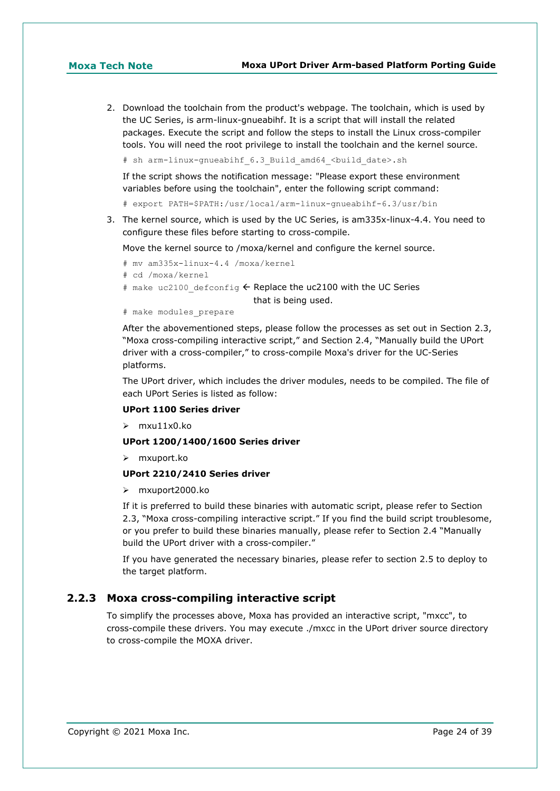2. Download the toolchain from the product's webpage. The toolchain, which is used by the UC Series, is arm-linux-gnueabihf. It is a script that will install the related packages. Execute the script and follow the steps to install the Linux cross-compiler tools. You will need the root privilege to install the toolchain and the kernel source.

# sh arm-linux-gnueabihf 6.3 Build amd64 <br/>build date>.sh

If the script shows the notification message: "Please export these environment variables before using the toolchain", enter the following script command:

# export PATH=\$PATH:/usr/local/arm-linux-gnueabihf-6.3/usr/bin

3. The kernel source, which is used by the UC Series, is am335x-linux-4.4. You need to configure these files before starting to cross-compile.

Move the kernel source to /moxa/kernel and configure the kernel source.

- # mv am335x-linux-4.4 /moxa/kernel
- # cd /moxa/kernel
- # make uc2100 defconfig  $\leftarrow$  Replace the uc2100 with the UC Series

that is being used.

# make modules\_prepare

After the abovementioned steps, please follow the processes as set out in Section 2.3, "Moxa cross-compiling interactive script," and Section 2.4, "Manually build the UPort driver with a cross-compiler," to cross-compile Moxa's driver for the UC-Series platforms.

The UPort driver, which includes the driver modules, needs to be compiled. The file of each UPort Series is listed as follow:

### **UPort 1100 Series driver**

mxu11x0.ko

### **UPort 1200/1400/1600 Series driver**

mxuport.ko

### **UPort 2210/2410 Series driver**

mxuport2000.ko

If it is preferred to build these binaries with automatic script, please refer to Section 2.3, "Moxa cross-compiling interactive script." If you find the build script troublesome, or you prefer to build these binaries manually, please refer to Section 2.4 "Manually build the UPort driver with a cross-compiler."

If you have generated the necessary binaries, please refer to section 2.5 to deploy to the target platform.

# **2.2.3 Moxa cross-compiling interactive script**

To simplify the processes above, Moxa has provided an interactive script, "mxcc", to cross-compile these drivers. You may execute ./mxcc in the UPort driver source directory to cross-compile the MOXA driver.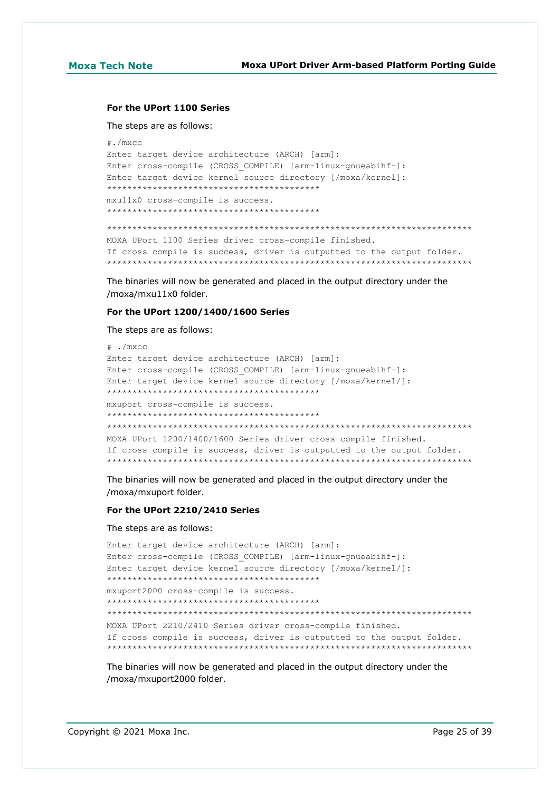### **For the UPort 1100 Series**

The steps are as follows:

```
#./mxcc
Enter target device architecture (ARCH) [arm]: 
Enter cross-compile (CROSS_COMPILE) [arm-linux-gnueabihf-]: 
Enter target device kernel source directory [/moxa/kernel]: 
******************************************
mxu11x0 cross-compile is success.
******************************************
************************************************************************
MOXA UPort 1100 Series driver cross-compile finished.
If cross compile is success, driver is outputted to the output folder.
************************************************************************
```
The binaries will now be generated and placed in the output directory under the /moxa/mxu11x0 folder.

### **For the UPort 1200/1400/1600 Series**

The steps are as follows:

```
# ./mxcc
Enter target device architecture (ARCH) [arm]: 
Enter cross-compile (CROSS_COMPILE) [arm-linux-gnueabihf-]: 
Enter target device kernel source directory [/moxa/kernel/]: 
******************************************
mxuport cross-compile is success.
******************************************
************************************************************************
MOXA UPort 1200/1400/1600 Series driver cross-compile finished.
If cross compile is success, driver is outputted to the output folder.
************************************************************************
```
The binaries will now be generated and placed in the output directory under the /moxa/mxuport folder.

### **For the UPort 2210/2410 Series**

The steps are as follows:

```
Enter target device architecture (ARCH) [arm]: 
Enter cross-compile (CROSS_COMPILE) [arm-linux-gnueabihf-]: 
Enter target device kernel source directory [/moxa/kernel/]: 
******************************************
mxuport2000 cross-compile is success.
******************************************
************************************************************************
MOXA UPort 2210/2410 Series driver cross-compile finished.
If cross compile is success, driver is outputted to the output folder.
************************************************************************
```
The binaries will now be generated and placed in the output directory under the /moxa/mxuport2000 folder.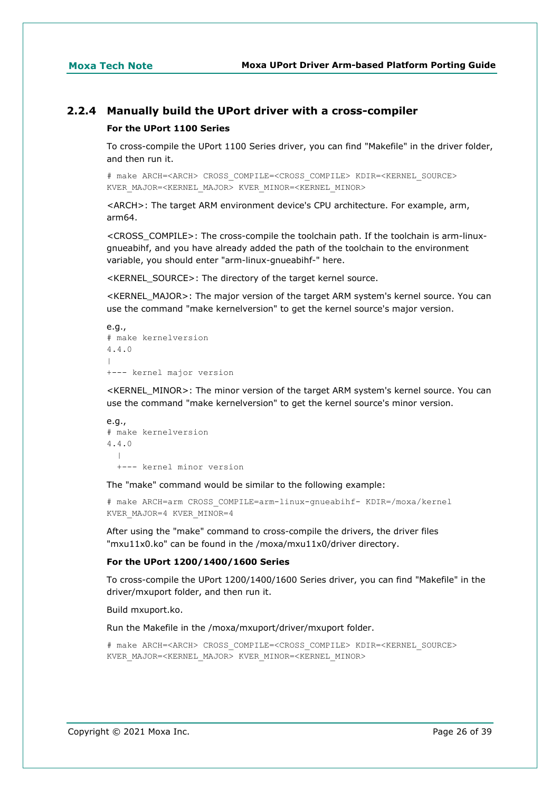# **2.2.4 Manually build the UPort driver with a cross-compiler**

### **For the UPort 1100 Series**

To cross-compile the UPort 1100 Series driver, you can find "Makefile" in the driver folder, and then run it.

# make ARCH=<ARCH> CROSS\_COMPILE=<CROSS\_COMPILE> KDIR=<KERNEL\_SOURCE> KVER\_MAJOR=<KERNEL\_MAJOR> KVER\_MINOR=<KERNEL\_MINOR>

<ARCH>: The target ARM environment device's CPU architecture. For example, arm, arm64.

<CROSS\_COMPILE>: The cross-compile the toolchain path. If the toolchain is arm-linuxgnueabihf, and you have already added the path of the toolchain to the environment variable, you should enter "arm-linux-gnueabihf-" here.

<KERNEL\_SOURCE>: The directory of the target kernel source.

<KERNEL\_MAJOR>: The major version of the target ARM system's kernel source. You can use the command "make kernelversion" to get the kernel source's major version.

```
e.g.,
# make kernelversion
4.4.0
|
+--- kernel major version
```
<KERNEL\_MINOR>: The minor version of the target ARM system's kernel source. You can use the command "make kernelversion" to get the kernel source's minor version.

```
e.g.,
# make kernelversion
4.4.0
\blacksquare +--- kernel minor version
```
The "make" command would be similar to the following example:

```
# make ARCH=arm CROSS_COMPILE=arm-linux-gnueabihf- KDIR=/moxa/kernel
KVER_MAJOR=4 KVER_MINOR=4
```
After using the "make" command to cross-compile the drivers, the driver files "mxu11x0.ko" can be found in the /moxa/mxu11x0/driver directory.

### **For the UPort 1200/1400/1600 Series**

To cross-compile the UPort 1200/1400/1600 Series driver, you can find "Makefile" in the driver/mxuport folder, and then run it.

Build mxuport.ko.

Run the Makefile in the /moxa/mxuport/driver/mxuport folder.

```
# make ARCH=<ARCH> CROSS_COMPILE=<CROSS_COMPILE> KDIR=<KERNEL_SOURCE> 
KVER_MAJOR=<KERNEL_MAJOR> KVER_MINOR=<KERNEL_MINOR>
```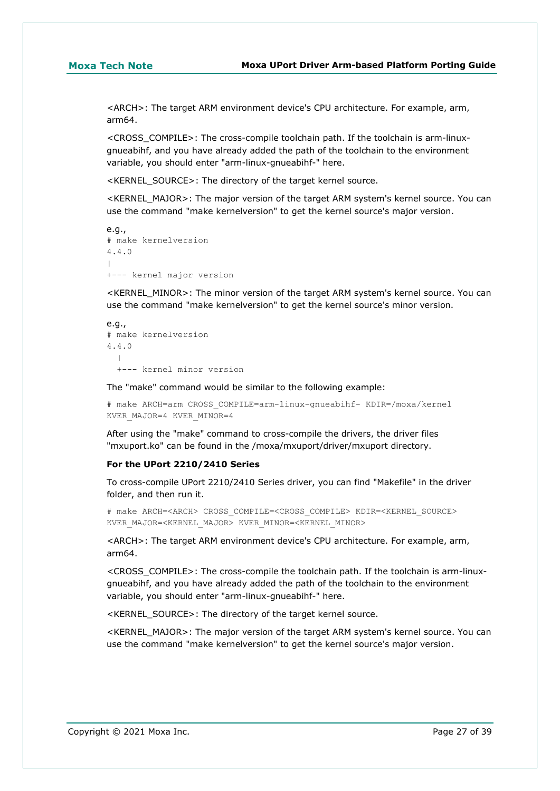<ARCH>: The target ARM environment device's CPU architecture. For example, arm, arm64.

<CROSS\_COMPILE>: The cross-compile toolchain path. If the toolchain is arm-linuxgnueabihf, and you have already added the path of the toolchain to the environment variable, you should enter "arm-linux-gnueabihf-" here.

<KERNEL\_SOURCE>: The directory of the target kernel source.

<KERNEL\_MAJOR>: The major version of the target ARM system's kernel source. You can use the command "make kernelversion" to get the kernel source's major version.

```
e.g.,
# make kernelversion
4.4.0
\overline{\phantom{a}}+--- kernel major version
```
<KERNEL\_MINOR>: The minor version of the target ARM system's kernel source. You can use the command "make kernelversion" to get the kernel source's minor version.

```
e.g.,
# make kernelversion
4.4.0
\blacksquare +--- kernel minor version
```
The "make" command would be similar to the following example:

```
# make ARCH=arm CROSS_COMPILE=arm-linux-gnueabihf- KDIR=/moxa/kernel 
KVER_MAJOR=4 KVER_MINOR=4
```
After using the "make" command to cross-compile the drivers, the driver files "mxuport.ko" can be found in the /moxa/mxuport/driver/mxuport directory.

### **For the UPort 2210/2410 Series**

To cross-compile UPort 2210/2410 Series driver, you can find "Makefile" in the driver folder, and then run it.

# make ARCH=<ARCH> CROSS\_COMPILE=<CROSS\_COMPILE> KDIR=<KERNEL\_SOURCE> KVER\_MAJOR=<KERNEL\_MAJOR> KVER\_MINOR=<KERNEL\_MINOR>

<ARCH>: The target ARM environment device's CPU architecture. For example, arm, arm64.

<CROSS\_COMPILE>: The cross-compile the toolchain path. If the toolchain is arm-linuxgnueabihf, and you have already added the path of the toolchain to the environment variable, you should enter "arm-linux-gnueabihf-" here.

<KERNEL\_SOURCE>: The directory of the target kernel source.

<KERNEL\_MAJOR>: The major version of the target ARM system's kernel source. You can use the command "make kernelversion" to get the kernel source's major version.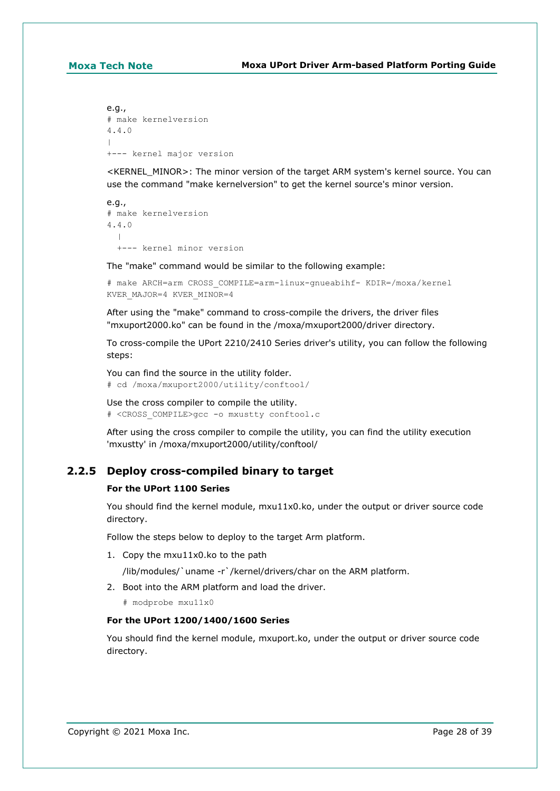e.g., # make kernelversion 4.4.0  $\overline{\phantom{a}}$ +--- kernel major version

<KERNEL\_MINOR>: The minor version of the target ARM system's kernel source. You can use the command "make kernelversion" to get the kernel source's minor version.

```
e.g.,
# make kernelversion
4.4.0
   |
   +--- kernel minor version
```
The "make" command would be similar to the following example:

```
# make ARCH=arm CROSS_COMPILE=arm-linux-gnueabihf- KDIR=/moxa/kernel 
KVER_MAJOR=4 KVER_MINOR=4
```
After using the "make" command to cross-compile the drivers, the driver files "mxuport2000.ko" can be found in the /moxa/mxuport2000/driver directory.

To cross-compile the UPort 2210/2410 Series driver's utility, you can follow the following steps:

You can find the source in the utility folder. # cd /moxa/mxuport2000/utility/conftool/

```
Use the cross compiler to compile the utility.
# <CROSS_COMPILE>gcc -o mxustty conftool.c
```
After using the cross compiler to compile the utility, you can find the utility execution 'mxustty' in /moxa/mxuport2000/utility/conftool/

# **2.2.5 Deploy cross-compiled binary to target**

### **For the UPort 1100 Series**

You should find the kernel module, mxu11x0.ko, under the output or driver source code directory.

Follow the steps below to deploy to the target Arm platform.

1. Copy the mxu11x0.ko to the path

/lib/modules/`uname -r`/kernel/drivers/char on the ARM platform.

2. Boot into the ARM platform and load the driver.

# modprobe mxu11x0

### **For the UPort 1200/1400/1600 Series**

You should find the kernel module, mxuport.ko, under the output or driver source code directory.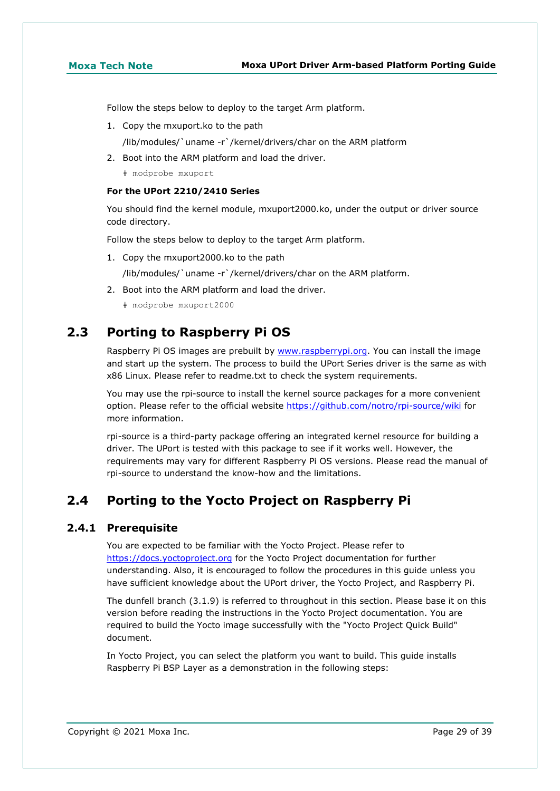Follow the steps below to deploy to the target Arm platform.

1. Copy the mxuport.ko to the path

/lib/modules/`uname -r`/kernel/drivers/char on the ARM platform

2. Boot into the ARM platform and load the driver.

# modprobe mxuport

## **For the UPort 2210/2410 Series**

You should find the kernel module, mxuport2000.ko, under the output or driver source code directory.

Follow the steps below to deploy to the target Arm platform.

1. Copy the mxuport2000.ko to the path

/lib/modules/`uname -r`/kernel/drivers/char on the ARM platform.

2. Boot into the ARM platform and load the driver.

# modprobe mxuport2000

# <span id="page-28-0"></span>**2.3 Porting to Raspberry Pi OS**

Raspberry Pi OS images are prebuilt by [www.raspberrypi.org.](https://moxa.sharepoint.com/sites/TechnicalWriters/Documentation%20Library/%5bPapers%5d/Tech_Notes/2021/www.raspberrypi.org) You can install the image and start up the system. The process to build the UPort Series driver is the same as with x86 Linux. Please refer to readme.txt to check the system requirements.

You may use the rpi-source to install the kernel source packages for a more convenient option. Please refer to the official website<https://github.com/notro/rpi-source/wiki> for more information.

rpi-source is a third-party package offering an integrated kernel resource for building a driver. The UPort is tested with this package to see if it works well. However, the requirements may vary for different Raspberry Pi OS versions. Please read the manual of rpi-source to understand the know-how and the limitations.

# <span id="page-28-1"></span>**2.4 Porting to the Yocto Project on Raspberry Pi**

# **2.4.1 Prerequisite**

You are expected to be familiar with the Yocto Project. Please refer to [https://docs.yoctoproject.org](https://docs.yoctoproject.org/) for the Yocto Project documentation for further understanding. Also, it is encouraged to follow the procedures in this guide unless you have sufficient knowledge about the UPort driver, the Yocto Project, and Raspberry Pi.

The dunfell branch (3.1.9) is referred to throughout in this section. Please base it on this version before reading the instructions in the Yocto Project documentation. You are required to build the Yocto image successfully with the "Yocto Project Quick Build" document.

In Yocto Project, you can select the platform you want to build. This guide installs Raspberry Pi BSP Layer as a demonstration in the following steps: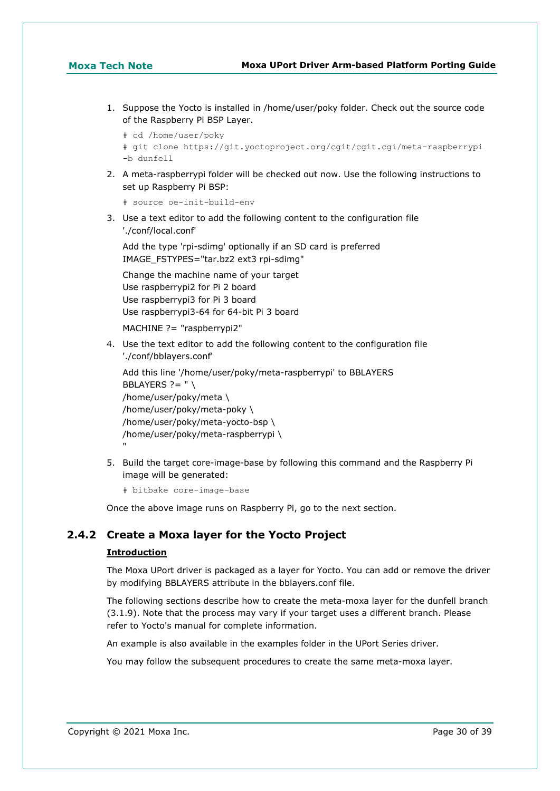1. Suppose the Yocto is installed in /home/user/poky folder. Check out the source code of the Raspberry Pi BSP Layer.

```
# cd /home/user/poky
# git clone https://git.yoctoproject.org/cgit/cgit.cgi/meta-raspberrypi 
-b dunfell
```
2. A meta-raspberrypi folder will be checked out now. Use the following instructions to set up Raspberry Pi BSP:

```
# source oe-init-build-env
```
3. Use a text editor to add the following content to the configuration file './conf/local.conf'

Add the type 'rpi-sdimg' optionally if an SD card is preferred IMAGE\_FSTYPES="tar.bz2 ext3 rpi-sdimg"

Change the machine name of your target Use raspberrypi2 for Pi 2 board Use raspberrypi3 for Pi 3 board Use raspberrypi3-64 for 64-bit Pi 3 board

MACHINE ?= "raspberrypi2"

4. Use the text editor to add the following content to the configuration file './conf/bblayers.conf'

```
Add this line '/home/user/poky/meta-raspberrypi' to BBLAYERS
BBLAYERS ? = " \setminus/home/user/poky/meta \
/home/user/poky/meta-poky \
/home/user/poky/meta-yocto-bsp \
/home/user/poky/meta-raspberrypi \
"
```
5. Build the target core-image-base by following this command and the Raspberry Pi image will be generated:

```
# bitbake core-image-base
```
Once the above image runs on Raspberry Pi, go to the next section.

# **2.4.2 Create a Moxa layer for the Yocto Project**

### **Introduction**

The Moxa UPort driver is packaged as a layer for Yocto. You can add or remove the driver by modifying BBLAYERS attribute in the bblayers.conf file.

The following sections describe how to create the meta-moxa layer for the dunfell branch (3.1.9). Note that the process may vary if your target uses a different branch. Please refer to Yocto's manual for complete information.

An example is also available in the examples folder in the UPort Series driver.

You may follow the subsequent procedures to create the same meta-moxa layer.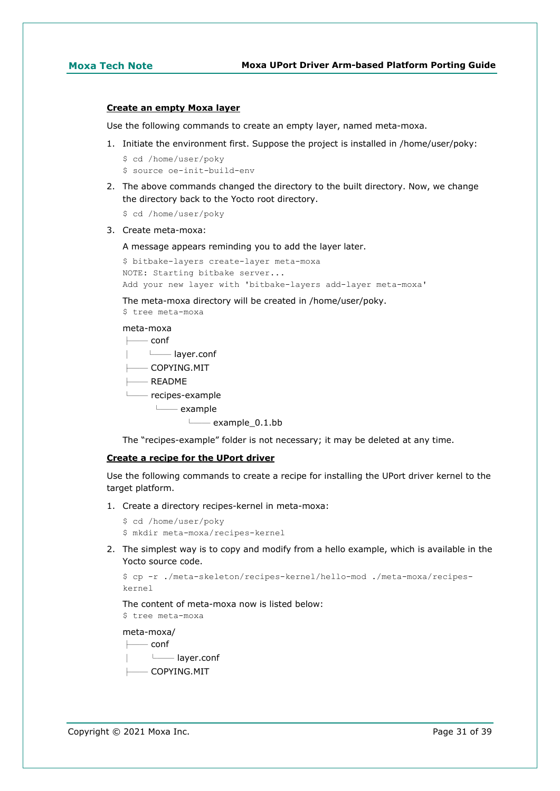### **Create an empty Moxa layer**

Use the following commands to create an empty layer, named meta-moxa.

- 1. Initiate the environment first. Suppose the project is installed in /home/user/poky:
	- \$ cd /home/user/poky
	- \$ source oe-init-build-env
- 2. The above commands changed the directory to the built directory. Now, we change the directory back to the Yocto root directory.
	- \$ cd /home/user/poky
- 3. Create meta-moxa:

A message appears reminding you to add the layer later.

```
$ bitbake-layers create-layer meta-moxa
NOTE: Starting bitbake server...
Add your new layer with 'bitbake-layers add-layer meta-moxa'
```
The meta-moxa directory will be created in /home/user/poky.

\$ tree meta-moxa

### meta-moxa

| — conf                        |
|-------------------------------|
| layer.conf                    |
| $\longmapsto$ COPYING.MIT     |
| — README                      |
| $\longmapsto$ recipes-example |
| $\longmapsto$ example         |
| $\longmapsto$ example_0.1.bb  |
|                               |

The "recipes-example" folder is not necessary; it may be deleted at any time.

### **Create a recipe for the UPort driver**

Use the following commands to create a recipe for installing the UPort driver kernel to the target platform.

- 1. Create a directory recipes-kernel in meta-moxa:
	- \$ cd /home/user/poky
	- \$ mkdir meta-moxa/recipes-kernel
- 2. The simplest way is to copy and modify from a hello example, which is available in the Yocto source code.

```
$ cp -r ./meta-skeleton/recipes-kernel/hello-mod ./meta-moxa/recipes-
kernel
```
The content of meta-moxa now is listed below:

\$ tree meta-moxa

meta-moxa/

 $-$  conf

│ └── layer.conf

 $-$  COPYING.MIT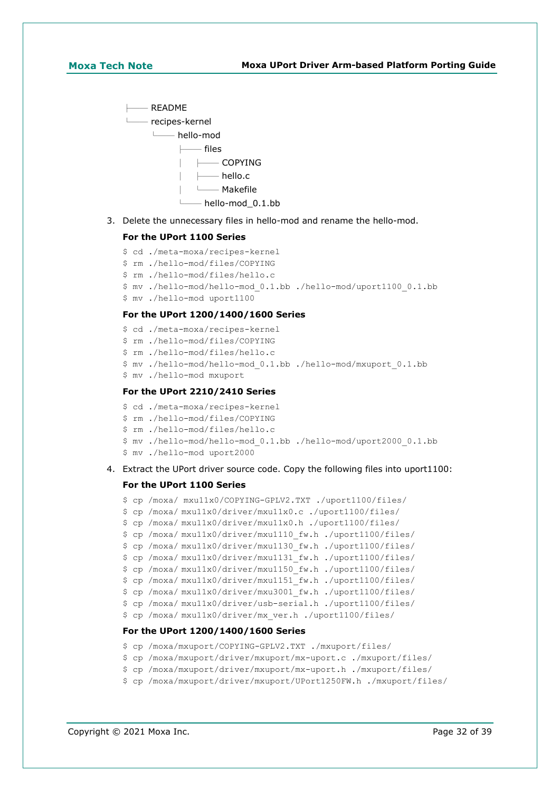

3. Delete the unnecessary files in hello-mod and rename the hello-mod.

### **For the UPort 1100 Series**

```
$ cd ./meta-moxa/recipes-kernel
```

```
$ rm ./hello-mod/files/COPYING
```

```
$ rm ./hello-mod/files/hello.c
```

```
$ mv ./hello-mod/hello-mod_0.1.bb ./hello-mod/uport1100_0.1.bb
```
\$ mv ./hello-mod uport1100

## **For the UPort 1200/1400/1600 Series**

- \$ cd ./meta-moxa/recipes-kernel
- \$ rm ./hello-mod/files/COPYING
- \$ rm ./hello-mod/files/hello.c
- \$ mv ./hello-mod/hello-mod\_0.1.bb ./hello-mod/mxuport\_0.1.bb
- \$ mv ./hello-mod mxuport

### **For the UPort 2210/2410 Series**

```
$ cd ./meta-moxa/recipes-kernel
```
- \$ rm ./hello-mod/files/COPYING
- \$ rm ./hello-mod/files/hello.c
- \$ mv ./hello-mod/hello-mod\_0.1.bb ./hello-mod/uport2000\_0.1.bb
- \$ mv ./hello-mod uport2000
- 4. Extract the UPort driver source code. Copy the following files into uport1100:

### **For the UPort 1100 Series**

```
$ cp /moxa/ mxu11x0/COPYING-GPLV2.TXT ./uport1100/files/
$ cp /moxa/ mxu11x0/driver/mxu11x0.c ./uport1100/files/
$ cp /moxa/ mxu11x0/driver/mxu11x0.h ./uport1100/files/
$ cp /moxa/ mxu11x0/driver/mxu1110_fw.h ./uport1100/files/
$ cp /moxa/ mxu11x0/driver/mxu1130_fw.h ./uport1100/files/
$ cp /moxa/ mxu11x0/driver/mxu1131_fw.h ./uport1100/files/
$ cp /moxa/ mxu11x0/driver/mxu1150_fw.h ./uport1100/files/
$ cp /moxa/ mxu11x0/driver/mxu1151_fw.h ./uport1100/files/
$ cp /moxa/ mxu11x0/driver/mxu3001_fw.h ./uport1100/files/
$ cp /moxa/ mxu11x0/driver/usb-serial.h ./uport1100/files/
$ cp /moxa/ mxu11x0/driver/mx_ver.h ./uport1100/files/
For the UPort 1200/1400/1600 Series
```
- \$ cp /moxa/mxuport/COPYING-GPLV2.TXT ./mxuport/files/
- \$ cp /moxa/mxuport/driver/mxuport/mx-uport.c ./mxuport/files/
- \$ cp /moxa/mxuport/driver/mxuport/mx-uport.h ./mxuport/files/
- \$ cp /moxa/mxuport/driver/mxuport/UPort1250FW.h ./mxuport/files/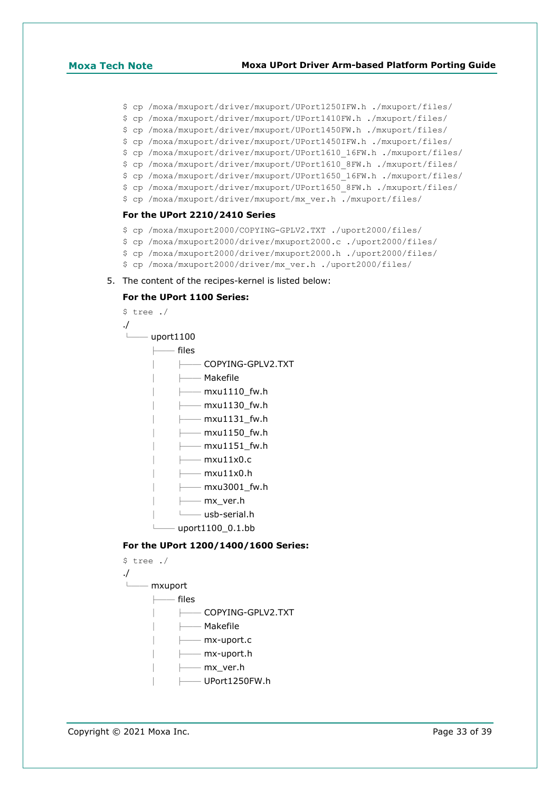### **Moxa Tech Note Moxa UPort Driver Arm-based Platform Porting Guide**

- \$ cp /moxa/mxuport/driver/mxuport/UPort1250IFW.h ./mxuport/files/
- \$ cp /moxa/mxuport/driver/mxuport/UPort1410FW.h ./mxuport/files/
- \$ cp /moxa/mxuport/driver/mxuport/UPort1450FW.h ./mxuport/files/
- \$ cp /moxa/mxuport/driver/mxuport/UPort1450IFW.h ./mxuport/files/
- \$ cp /moxa/mxuport/driver/mxuport/UPort1610\_16FW.h ./mxuport/files/
- \$ cp /moxa/mxuport/driver/mxuport/UPort1610\_8FW.h ./mxuport/files/
- \$ cp /moxa/mxuport/driver/mxuport/UPort1650\_16FW.h ./mxuport/files/
- \$ cp /moxa/mxuport/driver/mxuport/UPort1650\_8FW.h ./mxuport/files/
- \$ cp /moxa/mxuport/driver/mxuport/mx\_ver.h ./mxuport/files/

### **For the UPort 2210/2410 Series**

- \$ cp /moxa/mxuport2000/COPYING-GPLV2.TXT ./uport2000/files/
- \$ cp /moxa/mxuport2000/driver/mxuport2000.c ./uport2000/files/
- \$ cp /moxa/mxuport2000/driver/mxuport2000.h ./uport2000/files/
- \$ cp /moxa/mxuport2000/driver/mx\_ver.h ./uport2000/files/
- 5. The content of the recipes-kernel is listed below:

### **For the UPort 1100 Series:**



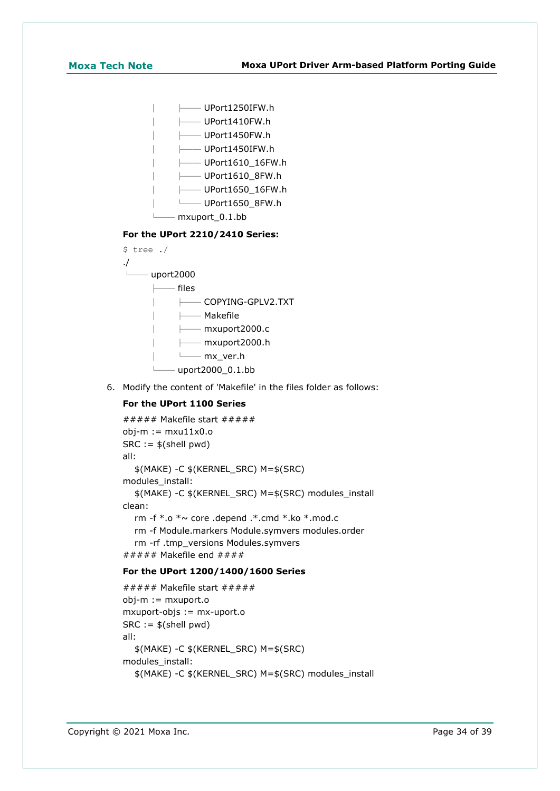| — UPort1250IFW.h                            |  |  |  |  |
|---------------------------------------------|--|--|--|--|
| —— UPort1410FW.h                            |  |  |  |  |
| —— UPort1450FW.h                            |  |  |  |  |
| —— UPort1450IFW.h                           |  |  |  |  |
| —— UPort1610 16FW.h                         |  |  |  |  |
| —— UPort1610 8FW.h                          |  |  |  |  |
| $\longmapsto$ <code>UPort1650_16FW.h</code> |  |  |  |  |
| —— UPort1650 8FW.h                          |  |  |  |  |
| mxuport 0.1.bb                              |  |  |  |  |
| For the UPort 2210/2410 Series:             |  |  |  |  |



6. Modify the content of 'Makefile' in the files folder as follows:

## **For the UPort 1100 Series**

```
###### Makefile start # # # # #obj-m := mxu11x0.0SRC := $(shell \text{ pwd})all:
   $(MAKE) -C $(KERNEL_SRC) M=$(SRC)
modules_install:
   $(MAKE) -C $(KERNEL_SRC) M=$(SRC) modules_install
clean:
   rm -f *.o *~ core .depend .*.cmd *.ko *.mod.c
   rm -f Module.markers Module.symvers modules.order
   rm -rf .tmp_versions Modules.symvers
##### Makefile end # # # #
```
## **For the UPort 1200/1400/1600 Series**

```
\# \# \# \# Makefile start \# \# \# \# \#obj-m := mxuport.o
mxuport-objs := mx-uport.o
SRC := $(shell \text{ pwd})all:
   $(MAKE) -C $(KERNEL_SRC) M=$(SRC)
modules_install:
   $(MAKE) -C $(KERNEL_SRC) M=$(SRC) modules_install
```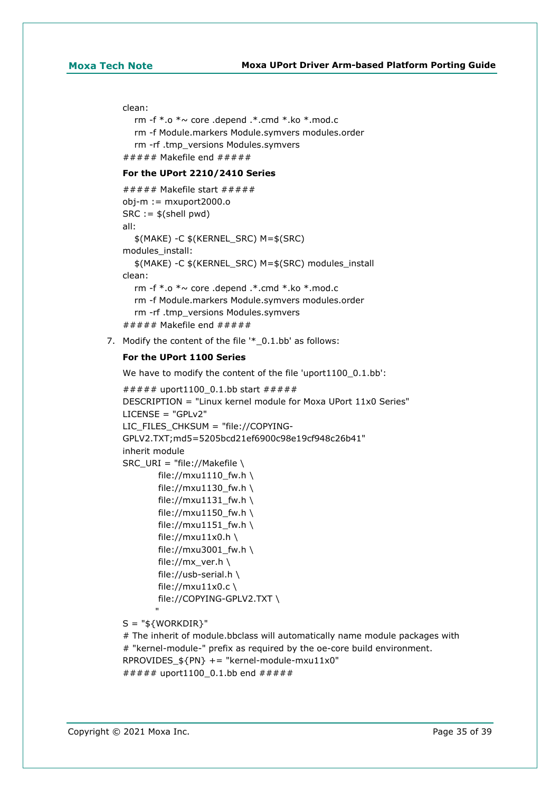### clean:

```
rm -f * a * \sim core .depend .* cmd *.ko *.mod.c
   rm -f Module.markers Module.symvers modules.order
   rm -rf .tmp_versions Modules.symvers
###### Makefile end # # # # #
```
### **For the UPort 2210/2410 Series**

```
###### Makefile start # # # # #obj-m := mxuport2000.o
SRC := $(shell \text{ pwd})all:
   $(MAKE) -C $(KERNEL_SRC) M=$(SRC)
modules_install:
   $(MAKE) -C $(KERNEL_SRC) M=$(SRC) modules_install
clean:
  rm -f * o * \sim core .depend .* cmd *.ko *.mod.c
   rm -f Module.markers Module.symvers modules.order
   rm -rf .tmp_versions Modules.symvers
###### Makefile end # # # # #
```
7. Modify the content of the file '\*\_0.1.bb' as follows:

### **For the UPort 1100 Series**

We have to modify the content of the file 'uport1100 0.1.bb':

```
###### uport1100 0.1.bb start ######
DESCRIPTION = "Linux kernel module for Moxa UPort 11x0 Series"
LICENSE = "GPLv2"
LIC_FILES_CHKSUM = "file://COPYING-
GPLV2.TXT;md5=5205bcd21ef6900c98e19cf948c26b41"
inherit module
SRC_URI = "file://Makefile \
        file://mxu1110_fw.h \
        file://mxu1130 fw.h \
        file://mxu1131 f(w.h \setminusfile://mxu1150_fw.h \
        file://mxu1151_fw.h \
        file://mxu11x0.h \
         file://mxu3001_fw.h \
        file://mx_ver.h \
        file://usb-serial.h \
        file://mxu11x0.c \
        file://COPYING-GPLV2.TXT \
"" "" "" ""
S = "${WORKDIR}"
```
# The inherit of module.bbclass will automatically name module packages with # "kernel-module-" prefix as required by the oe-core build environment. RPROVIDES  $$PN} += "kernel-module-maxu11x0"$ ###### uport1100\_0.1.bb end #####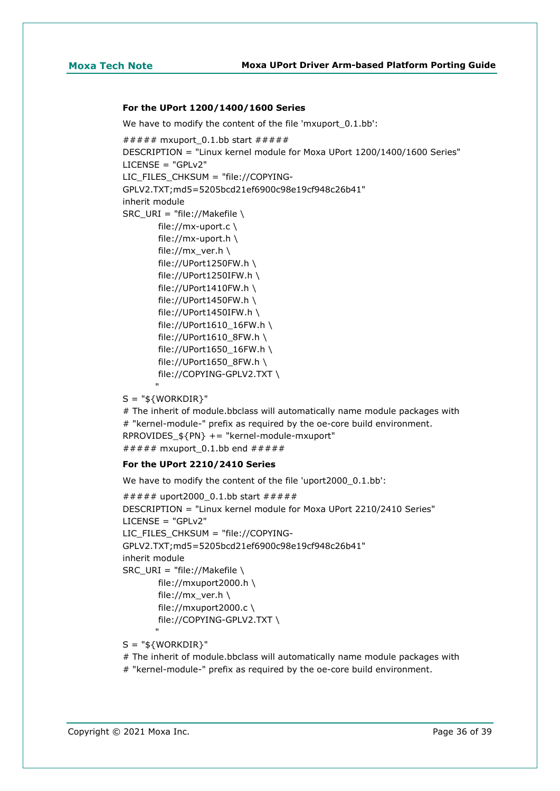### **For the UPort 1200/1400/1600 Series**

We have to modify the content of the file 'mxuport 0.1.bb':

```
###### mxuport 0.1.bb start ######
DESCRIPTION = "Linux kernel module for Moxa UPort 1200/1400/1600 Series"
LICENSE = "GPLv2"
LIC_FILES_CHKSUM = "file://COPYING-
GPLV2.TXT;md5=5205bcd21ef6900c98e19cf948c26b41"
inherit module
SRC_URI = "file://Makefile \
         file://mx-uport.c \
        file://mx-uport.h \
         file://mx_ver.h \
         file://UPort1250FW.h \
         file://UPort1250IFW.h \
         file://UPort1410FW.h \
         file://UPort1450FW.h \
         file://UPort1450IFW.h \
         file://UPort1610_16FW.h \
        file://UPort1610_8FW.h \
        file://UPort1650 16FW.h \setminus file://UPort1650_8FW.h \
         file://COPYING-GPLV2.TXT \
"" "" "" ""
```
 $S = "$ \${WORKDIR}"

# The inherit of module.bbclass will automatically name module packages with # "kernel-module-" prefix as required by the oe-core build environment. RPROVIDES\_\${PN} += "kernel-module-mxuport" ###### mxuport 0.1.bb end #####

### **For the UPort 2210/2410 Series**

We have to modify the content of the file 'uport2000\_0.1.bb':

```
##### uport2000_0.1.bb start #####
DESCRIPTION = "Linux kernel module for Moxa UPort 2210/2410 Series"
LICENSE = "GPLv2"
LIC_FILES_CHKSUM = "file://COPYING-
GPLV2.TXT;md5=5205bcd21ef6900c98e19cf948c26b41"
inherit module
SRC_URI = "file://Makefile \
        file://mxuport2000.h \
       file://mx_ver.h \
       file://mxuport2000.c \
        file://COPYING-GPLV2.TXT \
"" "" "" ""
```
 $S = "$ \${WORKDIR}"

# The inherit of module.bbclass will automatically name module packages with

# "kernel-module-" prefix as required by the oe-core build environment.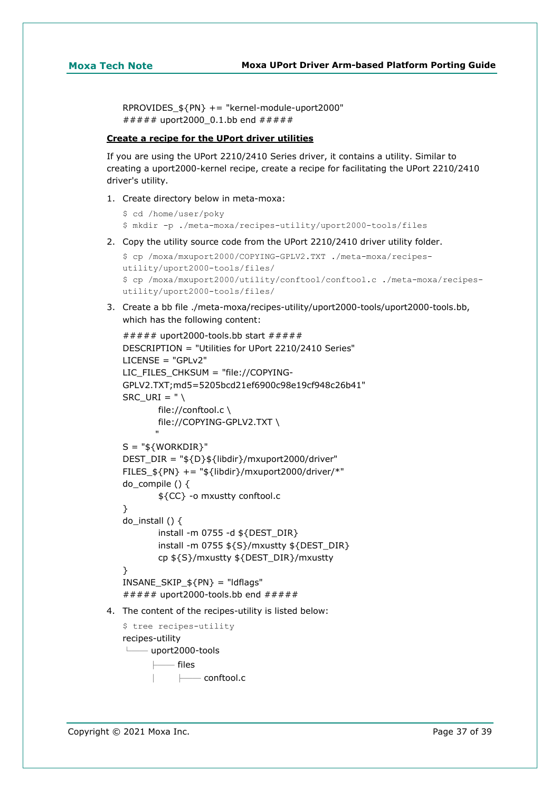RPROVIDES\_\${PN} += "kernel-module-uport2000" ##### uport2000 0.1.bb end #####

## **Create a recipe for the UPort driver utilities**

If you are using the UPort 2210/2410 Series driver, it contains a utility. Similar to creating a uport2000-kernel recipe, create a recipe for facilitating the UPort 2210/2410 driver's utility.

1. Create directory below in meta-moxa:

```
$ cd /home/user/poky
$ mkdir -p ./meta-moxa/recipes-utility/uport2000-tools/files
```
2. Copy the utility source code from the UPort 2210/2410 driver utility folder.

```
$ cp /moxa/mxuport2000/COPYING-GPLV2.TXT ./meta-moxa/recipes-
utility/uport2000-tools/files/
$ cp /moxa/mxuport2000/utility/conftool/conftool.c ./meta-moxa/recipes-
utility/uport2000-tools/files/
```
3. Create a bb file ./meta-moxa/recipes-utility/uport2000-tools/uport2000-tools.bb, which has the following content:

```
###### uport2000-tools.bb start # # # # #DESCRIPTION = "Utilities for UPort 2210/2410 Series"
   LICENSE = "GPLv2"LIC_FILES_CHKSUM = "file://COPYING-
   GPLV2.TXT;md5=5205bcd21ef6900c98e19cf948c26b41"
   SRC URI = " \setminus file://conftool.c \
            file://COPYING-GPLV2.TXT \
   "" "" "" ""
   S = "${WORKDIR}"
   DEST_DIR = "${D}${libdir}/mxuport2000/driver"
   FILES ${PN} += "${libdir}/mxuport2000/driver/*"
   do compile () \{ ${CC} -o mxustty conftool.c
   }
   do install () \{ install -m 0755 -d ${DEST_DIR}
            install -m 0755 ${S}/mxustty ${DEST_DIR}
            cp ${S}/mxustty ${DEST_DIR}/mxustty
   }
   INSANE SKIP ${PN} = "ldflags"
   ###### uport2000-tools.bb end \# \# \# \# \#4. The content of the recipes-utility is listed below:
   $ tree recipes-utility
   recipes-utility
    └── uport2000-tools
             - files
                │ ├── conftool.c
```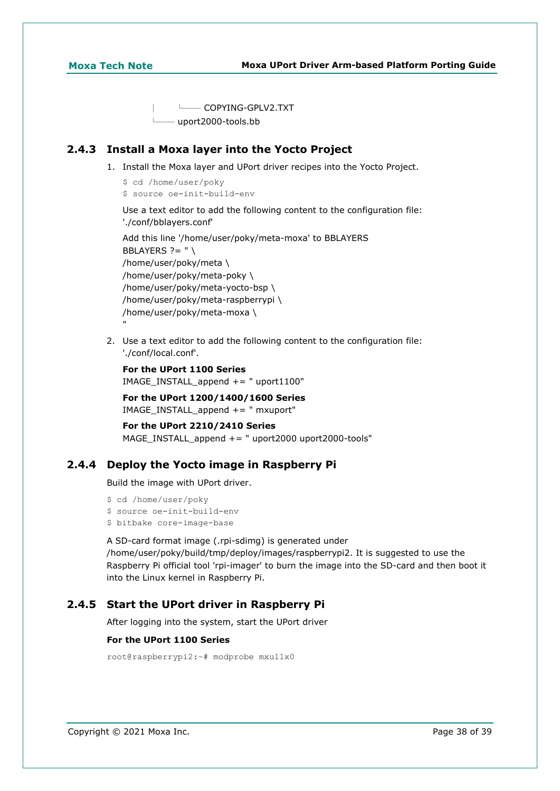"

 │ └── COPYING-GPLV2.TXT - uport2000-tools.bb

# **2.4.3 Install a Moxa layer into the Yocto Project**

- 1. Install the Moxa layer and UPort driver recipes into the Yocto Project.
	- \$ cd /home/user/poky
	- \$ source oe-init-build-env

Use a text editor to add the following content to the configuration file: './conf/bblayers.conf'

Add this line '/home/user/poky/meta-moxa' to BBLAYERS BBLAYERS  $? = " \setminus$ /home/user/poky/meta \ /home/user/poky/meta-poky \ /home/user/poky/meta-yocto-bsp \ /home/user/poky/meta-raspberrypi \ /home/user/poky/meta-moxa \

2. Use a text editor to add the following content to the configuration file: './conf/local.conf'.

```
For the UPort 1100 Series
IMAGE_INSTALL_append += " uport1100"
```
**For the UPort 1200/1400/1600 Series** IMAGE\_INSTALL\_append +=  $"$  mxuport"

```
For the UPort 2210/2410 Series
MAGE_INSTALL_append += " uport2000 uport2000-tools"
```
# **2.4.4 Deploy the Yocto image in Raspberry Pi**

Build the image with UPort driver.

```
$ cd /home/user/poky
$ source oe-init-build-env
$ bitbake core-image-base
```
A SD-card format image (.rpi-sdimg) is generated under /home/user/poky/build/tmp/deploy/images/raspberrypi2. It is suggested to use the Raspberry Pi official tool 'rpi-imager' to burn the image into the SD-card and then boot it into the Linux kernel in Raspberry Pi.

# **2.4.5 Start the UPort driver in Raspberry Pi**

After logging into the system, start the UPort driver

### **For the UPort 1100 Series**

```
root@raspberrypi2:~# modprobe mxu11x0
```